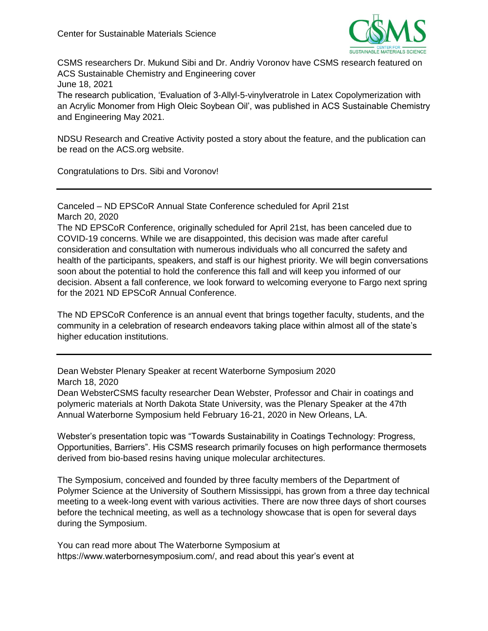

CSMS researchers Dr. Mukund Sibi and Dr. Andriy Voronov have CSMS research featured on ACS Sustainable Chemistry and Engineering cover June 18, 2021

The research publication, 'Evaluation of 3-Allyl-5-vinylveratrole in Latex Copolymerization with an Acrylic Monomer from High Oleic Soybean Oil', was published in ACS Sustainable Chemistry and Engineering May 2021.

NDSU Research and Creative Activity posted a story about the feature, and the publication can be read on the ACS.org website.

Congratulations to Drs. Sibi and Voronov!

Canceled – ND EPSCoR Annual State Conference scheduled for April 21st March 20, 2020

The ND EPSCoR Conference, originally scheduled for April 21st, has been canceled due to COVID-19 concerns. While we are disappointed, this decision was made after careful consideration and consultation with numerous individuals who all concurred the safety and health of the participants, speakers, and staff is our highest priority. We will begin conversations soon about the potential to hold the conference this fall and will keep you informed of our decision. Absent a fall conference, we look forward to welcoming everyone to Fargo next spring for the 2021 ND EPSCoR Annual Conference.

The ND EPSCoR Conference is an annual event that brings together faculty, students, and the community in a celebration of research endeavors taking place within almost all of the state's higher education institutions.

Dean Webster Plenary Speaker at recent Waterborne Symposium 2020 March 18, 2020

Dean WebsterCSMS faculty researcher Dean Webster, Professor and Chair in coatings and polymeric materials at North Dakota State University, was the Plenary Speaker at the 47th Annual Waterborne Symposium held February 16-21, 2020 in New Orleans, LA.

Webster's presentation topic was "Towards Sustainability in Coatings Technology: Progress, Opportunities, Barriers". His CSMS research primarily focuses on high performance thermosets derived from bio-based resins having unique molecular architectures.

The Symposium, conceived and founded by three faculty members of the Department of Polymer Science at the University of Southern Mississippi, has grown from a three day technical meeting to a week-long event with various activities. There are now three days of short courses before the technical meeting, as well as a technology showcase that is open for several days during the Symposium.

You can read more about The Waterborne Symposium at https://www.waterbornesymposium.com/, and read about this year's event at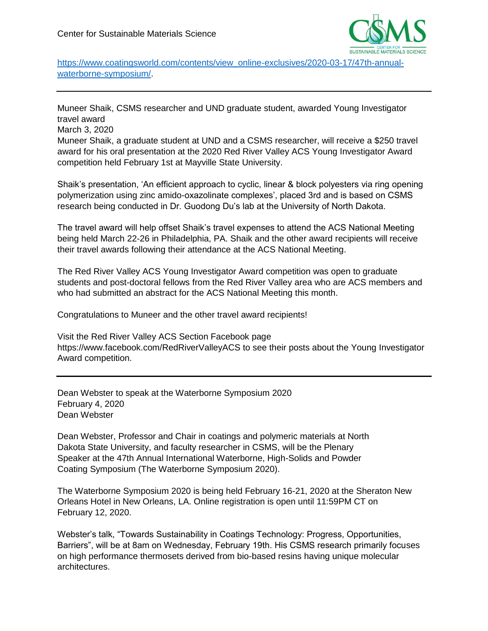

[https://www.coatingsworld.com/contents/view\\_online-exclusives/2020-03-17/47th-annual](https://www.coatingsworld.com/contents/view_online-exclusives/2020-03-17/47th-annual-waterborne-symposium/)[waterborne-symposium/.](https://www.coatingsworld.com/contents/view_online-exclusives/2020-03-17/47th-annual-waterborne-symposium/)

Muneer Shaik, CSMS researcher and UND graduate student, awarded Young Investigator travel award

March 3, 2020

Muneer Shaik, a graduate student at UND and a CSMS researcher, will receive a \$250 travel award for his oral presentation at the 2020 Red River Valley ACS Young Investigator Award competition held February 1st at Mayville State University.

Shaik's presentation, 'An efficient approach to cyclic, linear & block polyesters via ring opening polymerization using zinc amido-oxazolinate complexes', placed 3rd and is based on CSMS research being conducted in Dr. Guodong Du's lab at the University of North Dakota.

The travel award will help offset Shaik's travel expenses to attend the ACS National Meeting being held March 22-26 in Philadelphia, PA. Shaik and the other award recipients will receive their travel awards following their attendance at the ACS National Meeting.

The Red River Valley ACS Young Investigator Award competition was open to graduate students and post-doctoral fellows from the Red River Valley area who are ACS members and who had submitted an abstract for the ACS National Meeting this month.

Congratulations to Muneer and the other travel award recipients!

Visit the Red River Valley ACS Section Facebook page https://www.facebook.com/RedRiverValleyACS to see their posts about the Young Investigator Award competition.

Dean Webster to speak at the Waterborne Symposium 2020 February 4, 2020 Dean Webster

Dean Webster, Professor and Chair in coatings and polymeric materials at North Dakota State University, and faculty researcher in CSMS, will be the Plenary Speaker at the 47th Annual International Waterborne, High-Solids and Powder Coating Symposium (The Waterborne Symposium 2020).

The Waterborne Symposium 2020 is being held February 16-21, 2020 at the Sheraton New Orleans Hotel in New Orleans, LA. Online registration is open until 11:59PM CT on February 12, 2020.

Webster's talk, "Towards Sustainability in Coatings Technology: Progress, Opportunities, Barriers", will be at 8am on Wednesday, February 19th. His CSMS research primarily focuses on high performance thermosets derived from bio-based resins having unique molecular architectures.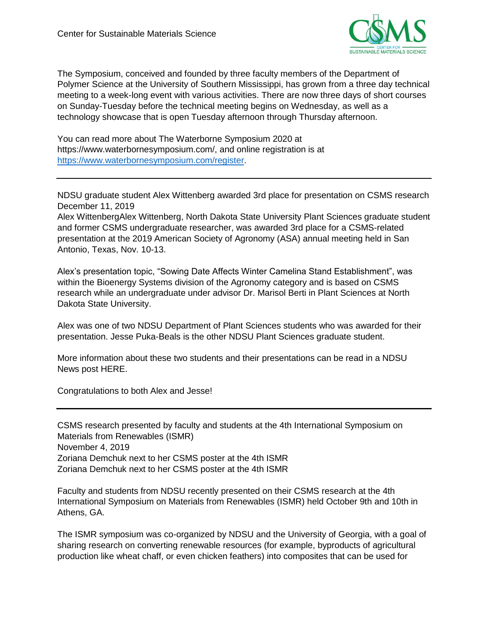

The Symposium, conceived and founded by three faculty members of the Department of Polymer Science at the University of Southern Mississippi, has grown from a three day technical meeting to a week-long event with various activities. There are now three days of short courses on Sunday-Tuesday before the technical meeting begins on Wednesday, as well as a technology showcase that is open Tuesday afternoon through Thursday afternoon.

You can read more about The Waterborne Symposium 2020 at https://www.waterbornesymposium.com/, and online registration is at [https://www.waterbornesymposium.com/register.](https://www.waterbornesymposium.com/register)

NDSU graduate student Alex Wittenberg awarded 3rd place for presentation on CSMS research December 11, 2019

Alex WittenbergAlex Wittenberg, North Dakota State University Plant Sciences graduate student and former CSMS undergraduate researcher, was awarded 3rd place for a CSMS-related presentation at the 2019 American Society of Agronomy (ASA) annual meeting held in San Antonio, Texas, Nov. 10-13.

Alex's presentation topic, "Sowing Date Affects Winter Camelina Stand Establishment", was within the Bioenergy Systems division of the Agronomy category and is based on CSMS research while an undergraduate under advisor Dr. Marisol Berti in Plant Sciences at North Dakota State University.

Alex was one of two NDSU Department of Plant Sciences students who was awarded for their presentation. Jesse Puka-Beals is the other NDSU Plant Sciences graduate student.

More information about these two students and their presentations can be read in a NDSU News post HERE.

Congratulations to both Alex and Jesse!

CSMS research presented by faculty and students at the 4th International Symposium on Materials from Renewables (ISMR) November 4, 2019 Zoriana Demchuk next to her CSMS poster at the 4th ISMR Zoriana Demchuk next to her CSMS poster at the 4th ISMR

Faculty and students from NDSU recently presented on their CSMS research at the 4th International Symposium on Materials from Renewables (ISMR) held October 9th and 10th in Athens, GA.

The ISMR symposium was co-organized by NDSU and the University of Georgia, with a goal of sharing research on converting renewable resources (for example, byproducts of agricultural production like wheat chaff, or even chicken feathers) into composites that can be used for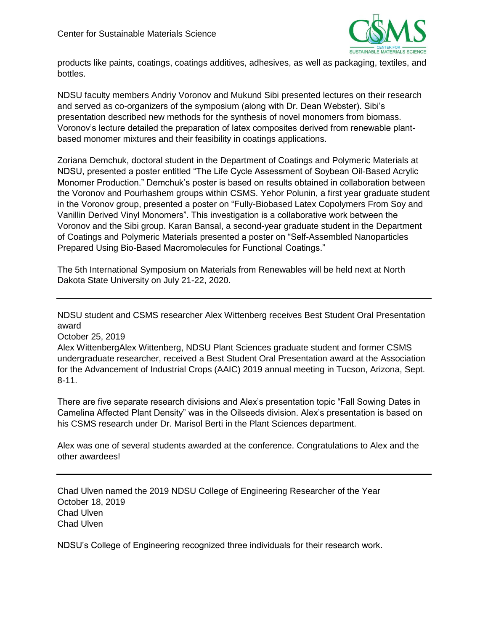

products like paints, coatings, coatings additives, adhesives, as well as packaging, textiles, and bottles.

NDSU faculty members Andriy Voronov and Mukund Sibi presented lectures on their research and served as co-organizers of the symposium (along with Dr. Dean Webster). Sibi's presentation described new methods for the synthesis of novel monomers from biomass. Voronov's lecture detailed the preparation of latex composites derived from renewable plantbased monomer mixtures and their feasibility in coatings applications.

Zoriana Demchuk, doctoral student in the Department of Coatings and Polymeric Materials at NDSU, presented a poster entitled "The Life Cycle Assessment of Soybean Oil‐Based Acrylic Monomer Production." Demchuk's poster is based on results obtained in collaboration between the Voronov and Pourhashem groups within CSMS. Yehor Polunin, a first year graduate student in the Voronov group, presented a poster on "Fully-Biobased Latex Copolymers From Soy and Vanillin Derived Vinyl Monomers". This investigation is a collaborative work between the Voronov and the Sibi group. Karan Bansal, a second-year graduate student in the Department of Coatings and Polymeric Materials presented a poster on "Self-Assembled Nanoparticles Prepared Using Bio-Based Macromolecules for Functional Coatings."

The 5th International Symposium on Materials from Renewables will be held next at North Dakota State University on July 21-22, 2020.

NDSU student and CSMS researcher Alex Wittenberg receives Best Student Oral Presentation award

October 25, 2019

Alex WittenbergAlex Wittenberg, NDSU Plant Sciences graduate student and former CSMS undergraduate researcher, received a Best Student Oral Presentation award at the Association for the Advancement of Industrial Crops (AAIC) 2019 annual meeting in Tucson, Arizona, Sept. 8-11.

There are five separate research divisions and Alex's presentation topic "Fall Sowing Dates in Camelina Affected Plant Density" was in the Oilseeds division. Alex's presentation is based on his CSMS research under Dr. Marisol Berti in the Plant Sciences department.

Alex was one of several students awarded at the conference. Congratulations to Alex and the other awardees!

Chad Ulven named the 2019 NDSU College of Engineering Researcher of the Year October 18, 2019 Chad Ulven Chad Ulven

NDSU's College of Engineering recognized three individuals for their research work.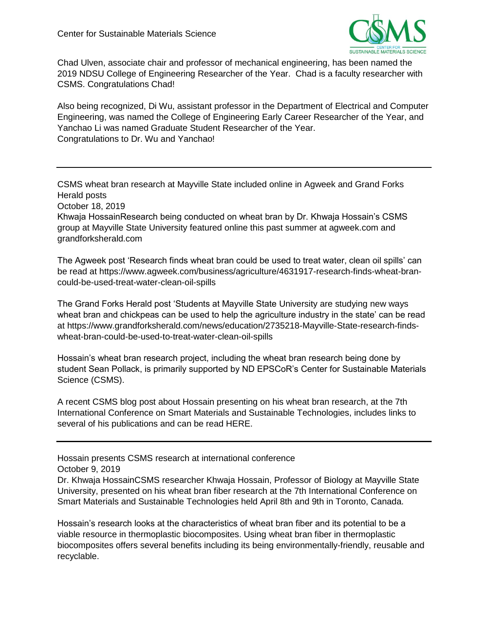

Chad Ulven, associate chair and professor of mechanical engineering, has been named the 2019 NDSU College of Engineering Researcher of the Year. Chad is a faculty researcher with CSMS. Congratulations Chad!

Also being recognized, Di Wu, assistant professor in the Department of Electrical and Computer Engineering, was named the College of Engineering Early Career Researcher of the Year, and Yanchao Li was named Graduate Student Researcher of the Year. Congratulations to Dr. Wu and Yanchao!

CSMS wheat bran research at Mayville State included online in Agweek and Grand Forks Herald posts

October 18, 2019

Khwaja HossainResearch being conducted on wheat bran by Dr. Khwaja Hossain's CSMS group at Mayville State University featured online this past summer at agweek.com and grandforksherald.com

The Agweek post 'Research finds wheat bran could be used to treat water, clean oil spills' can be read at https://www.agweek.com/business/agriculture/4631917-research-finds-wheat-brancould-be-used-treat-water-clean-oil-spills

The Grand Forks Herald post 'Students at Mayville State University are studying new ways wheat bran and chickpeas can be used to help the agriculture industry in the state' can be read at https://www.grandforksherald.com/news/education/2735218-Mayville-State-research-findswheat-bran-could-be-used-to-treat-water-clean-oil-spills

Hossain's wheat bran research project, including the wheat bran research being done by student Sean Pollack, is primarily supported by ND EPSCoR's Center for Sustainable Materials Science (CSMS).

A recent CSMS blog post about Hossain presenting on his wheat bran research, at the 7th International Conference on Smart Materials and Sustainable Technologies, includes links to several of his publications and can be read HERE.

Hossain presents CSMS research at international conference

October 9, 2019

Dr. Khwaja HossainCSMS researcher Khwaja Hossain, Professor of Biology at Mayville State University, presented on his wheat bran fiber research at the 7th International Conference on Smart Materials and Sustainable Technologies held April 8th and 9th in Toronto, Canada.

Hossain's research looks at the characteristics of wheat bran fiber and its potential to be a viable resource in thermoplastic biocomposites. Using wheat bran fiber in thermoplastic biocomposites offers several benefits including its being environmentally-friendly, reusable and recyclable.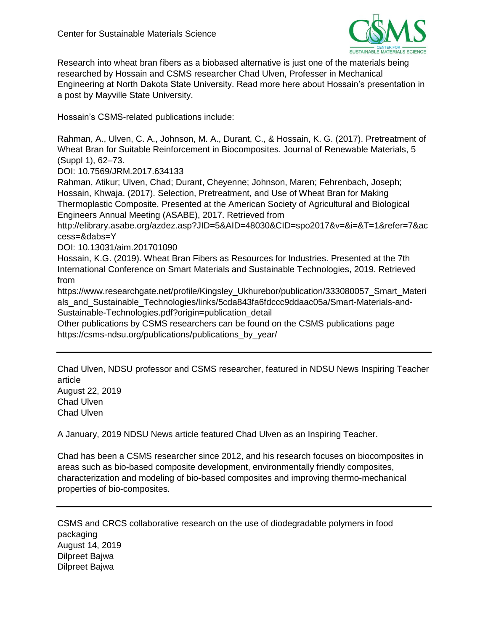

Research into wheat bran fibers as a biobased alternative is just one of the materials being researched by Hossain and CSMS researcher Chad Ulven, Professer in Mechanical Engineering at North Dakota State University. Read more here about Hossain's presentation in a post by Mayville State University.

Hossain's CSMS-related publications include:

Rahman, A., Ulven, C. A., Johnson, M. A., Durant, C., & Hossain, K. G. (2017). Pretreatment of Wheat Bran for Suitable Reinforcement in Biocomposites. Journal of Renewable Materials, 5 (Suppl 1), 62–73.

DOI: 10.7569/JRM.2017.634133

Rahman, Atikur; Ulven, Chad; Durant, Cheyenne; Johnson, Maren; Fehrenbach, Joseph; Hossain, Khwaja. (2017). Selection, Pretreatment, and Use of Wheat Bran for Making Thermoplastic Composite. Presented at the American Society of Agricultural and Biological Engineers Annual Meeting (ASABE), 2017. Retrieved from

http://elibrary.asabe.org/azdez.asp?JID=5&AID=48030&CID=spo2017&v=&i=&T=1&refer=7&ac cess=&dabs=Y

DOI: 10.13031/aim.201701090

Hossain, K.G. (2019). Wheat Bran Fibers as Resources for Industries. Presented at the 7th International Conference on Smart Materials and Sustainable Technologies, 2019. Retrieved from

https://www.researchgate.net/profile/Kingsley\_Ukhurebor/publication/333080057\_Smart\_Materi als\_and\_Sustainable\_Technologies/links/5cda843fa6fdccc9ddaac05a/Smart-Materials-and-Sustainable-Technologies.pdf?origin=publication\_detail

Other publications by CSMS researchers can be found on the CSMS publications page https://csms-ndsu.org/publications/publications\_by\_year/

Chad Ulven, NDSU professor and CSMS researcher, featured in NDSU News Inspiring Teacher article August 22, 2019 Chad Ulven Chad Ulven

A January, 2019 NDSU News article featured Chad Ulven as an Inspiring Teacher.

Chad has been a CSMS researcher since 2012, and his research focuses on biocomposites in areas such as bio-based composite development, environmentally friendly composites, characterization and modeling of bio-based composites and improving thermo-mechanical properties of bio-composites.

CSMS and CRCS collaborative research on the use of diodegradable polymers in food packaging August 14, 2019 Dilpreet Bajwa Dilpreet Bajwa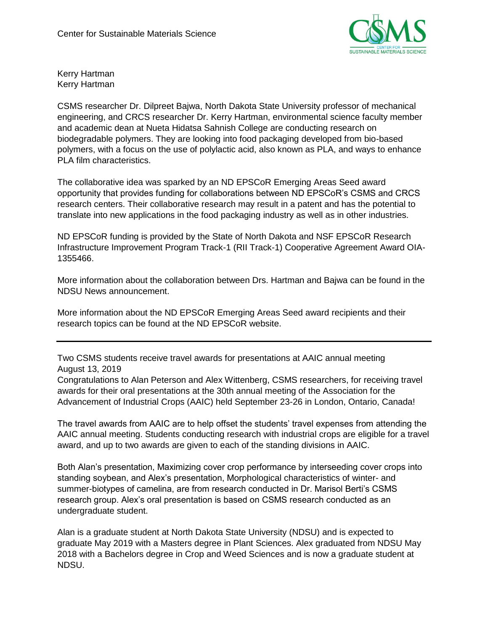

Kerry Hartman Kerry Hartman

CSMS researcher Dr. Dilpreet Bajwa, North Dakota State University professor of mechanical engineering, and CRCS researcher Dr. Kerry Hartman, environmental science faculty member and academic dean at Nueta Hidatsa Sahnish College are conducting research on biodegradable polymers. They are looking into food packaging developed from bio-based polymers, with a focus on the use of polylactic acid, also known as PLA, and ways to enhance PLA film characteristics.

The collaborative idea was sparked by an ND EPSCoR Emerging Areas Seed award opportunity that provides funding for collaborations between ND EPSCoR's CSMS and CRCS research centers. Their collaborative research may result in a patent and has the potential to translate into new applications in the food packaging industry as well as in other industries.

ND EPSCoR funding is provided by the State of North Dakota and NSF EPSCoR Research Infrastructure Improvement Program Track-1 (RII Track-1) Cooperative Agreement Award OIA-1355466.

More information about the collaboration between Drs. Hartman and Bajwa can be found in the NDSU News announcement.

More information about the ND EPSCoR Emerging Areas Seed award recipients and their research topics can be found at the ND EPSCoR website.

Two CSMS students receive travel awards for presentations at AAIC annual meeting August 13, 2019

Congratulations to Alan Peterson and Alex Wittenberg, CSMS researchers, for receiving travel awards for their oral presentations at the 30th annual meeting of the Association for the Advancement of Industrial Crops (AAIC) held September 23-26 in London, Ontario, Canada!

The travel awards from AAIC are to help offset the students' travel expenses from attending the AAIC annual meeting. Students conducting research with industrial crops are eligible for a travel award, and up to two awards are given to each of the standing divisions in AAIC.

Both Alan's presentation, Maximizing cover crop performance by interseeding cover crops into standing soybean, and Alex's presentation, Morphological characteristics of winter- and summer-biotypes of camelina, are from research conducted in Dr. Marisol Berti's CSMS research group. Alex's oral presentation is based on CSMS research conducted as an undergraduate student.

Alan is a graduate student at North Dakota State University (NDSU) and is expected to graduate May 2019 with a Masters degree in Plant Sciences. Alex graduated from NDSU May 2018 with a Bachelors degree in Crop and Weed Sciences and is now a graduate student at NDSU.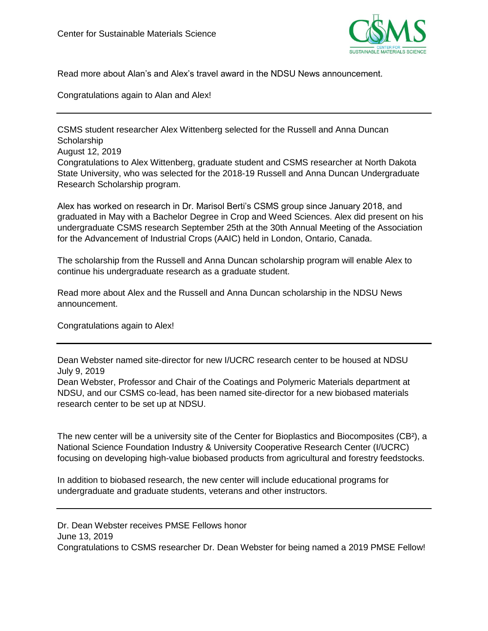

Read more about Alan's and Alex's travel award in the NDSU News announcement.

Congratulations again to Alan and Alex!

CSMS student researcher Alex Wittenberg selected for the Russell and Anna Duncan **Scholarship** August 12, 2019 Congratulations to Alex Wittenberg, graduate student and CSMS researcher at North Dakota State University, who was selected for the 2018-19 Russell and Anna Duncan Undergraduate Research Scholarship program.

Alex has worked on research in Dr. Marisol Berti's CSMS group since January 2018, and graduated in May with a Bachelor Degree in Crop and Weed Sciences. Alex did present on his undergraduate CSMS research September 25th at the 30th Annual Meeting of the Association for the Advancement of Industrial Crops (AAIC) held in London, Ontario, Canada.

The scholarship from the Russell and Anna Duncan scholarship program will enable Alex to continue his undergraduate research as a graduate student.

Read more about Alex and the Russell and Anna Duncan scholarship in the NDSU News announcement.

Congratulations again to Alex!

Dean Webster named site-director for new I/UCRC research center to be housed at NDSU July 9, 2019

Dean Webster, Professor and Chair of the Coatings and Polymeric Materials department at NDSU, and our CSMS co-lead, has been named site-director for a new biobased materials research center to be set up at NDSU.

The new center will be a university site of the Center for Bioplastics and Biocomposites (CB²), a National Science Foundation Industry & University Cooperative Research Center (I/UCRC) focusing on developing high-value biobased products from agricultural and forestry feedstocks.

In addition to biobased research, the new center will include educational programs for undergraduate and graduate students, veterans and other instructors.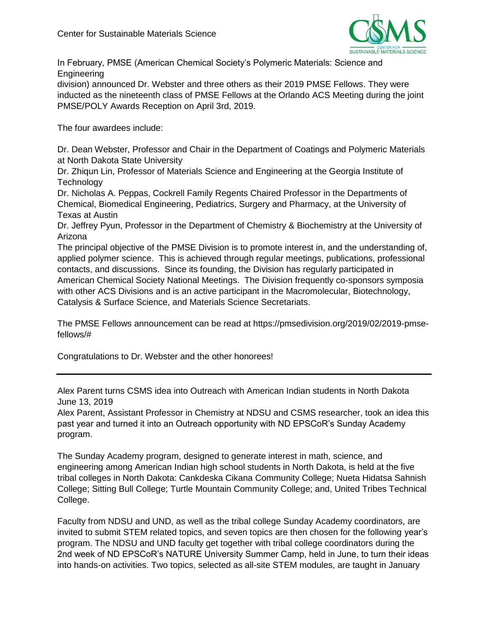

In February, PMSE (American Chemical Society's Polymeric Materials: Science and Engineering

division) announced Dr. Webster and three others as their 2019 PMSE Fellows. They were inducted as the nineteenth class of PMSE Fellows at the Orlando ACS Meeting during the joint PMSE/POLY Awards Reception on April 3rd, 2019.

The four awardees include:

Dr. Dean Webster, Professor and Chair in the Department of Coatings and Polymeric Materials at North Dakota State University

Dr. Zhiqun Lin, Professor of Materials Science and Engineering at the Georgia Institute of **Technology** 

Dr. Nicholas A. Peppas, Cockrell Family Regents Chaired Professor in the Departments of Chemical, Biomedical Engineering, Pediatrics, Surgery and Pharmacy, at the University of Texas at Austin

Dr. Jeffrey Pyun, Professor in the Department of Chemistry & Biochemistry at the University of Arizona

The principal objective of the PMSE Division is to promote interest in, and the understanding of, applied polymer science. This is achieved through regular meetings, publications, professional contacts, and discussions. Since its founding, the Division has regularly participated in American Chemical Society National Meetings. The Division frequently co-sponsors symposia with other ACS Divisions and is an active participant in the Macromolecular, Biotechnology, Catalysis & Surface Science, and Materials Science Secretariats.

The PMSE Fellows announcement can be read at https://pmsedivision.org/2019/02/2019-pmsefellows/#

Congratulations to Dr. Webster and the other honorees!

Alex Parent turns CSMS idea into Outreach with American Indian students in North Dakota June 13, 2019

Alex Parent, Assistant Professor in Chemistry at NDSU and CSMS researcher, took an idea this past year and turned it into an Outreach opportunity with ND EPSCoR's Sunday Academy program.

The Sunday Academy program, designed to generate interest in math, science, and engineering among American Indian high school students in North Dakota, is held at the five tribal colleges in North Dakota: Cankdeska Cikana Community College; Nueta Hidatsa Sahnish College; Sitting Bull College; Turtle Mountain Community College; and, United Tribes Technical College.

Faculty from NDSU and UND, as well as the tribal college Sunday Academy coordinators, are invited to submit STEM related topics, and seven topics are then chosen for the following year's program. The NDSU and UND faculty get together with tribal college coordinators during the 2nd week of ND EPSCoR's NATURE University Summer Camp, held in June, to turn their ideas into hands-on activities. Two topics, selected as all-site STEM modules, are taught in January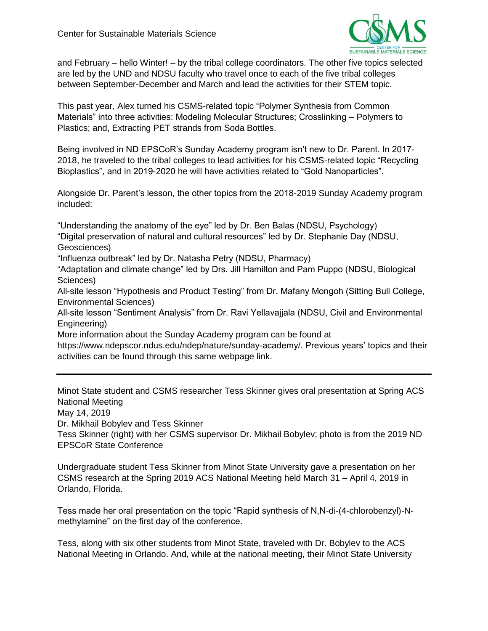

and February – hello Winter! – by the tribal college coordinators. The other five topics selected are led by the UND and NDSU faculty who travel once to each of the five tribal colleges between September-December and March and lead the activities for their STEM topic.

This past year, Alex turned his CSMS-related topic "Polymer Synthesis from Common Materials" into three activities: Modeling Molecular Structures; Crosslinking – Polymers to Plastics; and, Extracting PET strands from Soda Bottles.

Being involved in ND EPSCoR's Sunday Academy program isn't new to Dr. Parent. In 2017- 2018, he traveled to the tribal colleges to lead activities for his CSMS-related topic "Recycling Bioplastics", and in 2019-2020 he will have activities related to "Gold Nanoparticles".

Alongside Dr. Parent's lesson, the other topics from the 2018-2019 Sunday Academy program included:

"Understanding the anatomy of the eye" led by Dr. Ben Balas (NDSU, Psychology) "Digital preservation of natural and cultural resources" led by Dr. Stephanie Day (NDSU, Geosciences)

"Influenza outbreak" led by Dr. Natasha Petry (NDSU, Pharmacy)

"Adaptation and climate change" led by Drs. Jill Hamilton and Pam Puppo (NDSU, Biological Sciences)

All-site lesson "Hypothesis and Product Testing" from Dr. Mafany Mongoh (Sitting Bull College, Environmental Sciences)

All-site lesson "Sentiment Analysis" from Dr. Ravi Yellavajjala (NDSU, Civil and Environmental Engineering)

More information about the Sunday Academy program can be found at

https://www.ndepscor.ndus.edu/ndep/nature/sunday-academy/. Previous years' topics and their activities can be found through this same webpage link.

Minot State student and CSMS researcher Tess Skinner gives oral presentation at Spring ACS National Meeting

May 14, 2019

Dr. Mikhail Bobylev and Tess Skinner

Tess Skinner (right) with her CSMS supervisor Dr. Mikhail Bobylev; photo is from the 2019 ND EPSCoR State Conference

Undergraduate student Tess Skinner from Minot State University gave a presentation on her CSMS research at the Spring 2019 ACS National Meeting held March 31 – April 4, 2019 in Orlando, Florida.

Tess made her oral presentation on the topic "Rapid synthesis of N,N-di-(4-chlorobenzyl)-Nmethylamine" on the first day of the conference.

Tess, along with six other students from Minot State, traveled with Dr. Bobylev to the ACS National Meeting in Orlando. And, while at the national meeting, their Minot State University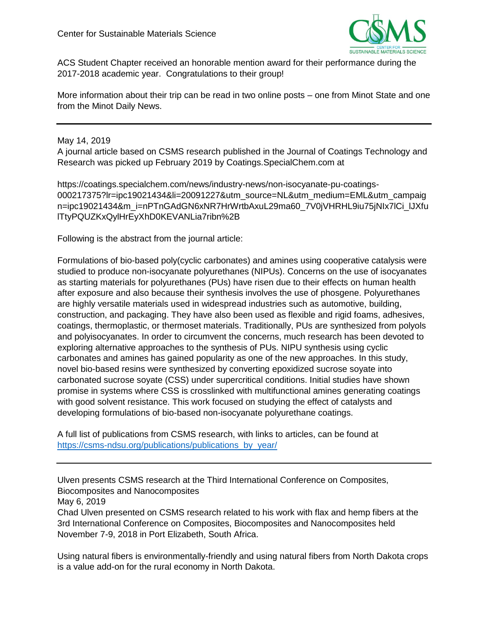

ACS Student Chapter received an honorable mention award for their performance during the 2017-2018 academic year. Congratulations to their group!

More information about their trip can be read in two online posts – one from Minot State and one from the Minot Daily News.

May 14, 2019

A journal article based on CSMS research published in the Journal of Coatings Technology and Research was picked up February 2019 by Coatings.SpecialChem.com at

https://coatings.specialchem.com/news/industry-news/non-isocyanate-pu-coatings-000217375?lr=ipc19021434&li=20091227&utm\_source=NL&utm\_medium=EML&utm\_campaig n=ipc19021434&m\_i=nPTnGAdGN6xNR7HrWrtbAxuL29ma60\_7V0jVHRHL9iu75jNIx7lCi\_lJXfu lTtyPQUZKxQylHrEyXhD0KEVANLia7ribn%2B

Following is the abstract from the journal article:

Formulations of bio-based poly(cyclic carbonates) and amines using cooperative catalysis were studied to produce non-isocyanate polyurethanes (NIPUs). Concerns on the use of isocyanates as starting materials for polyurethanes (PUs) have risen due to their effects on human health after exposure and also because their synthesis involves the use of phosgene. Polyurethanes are highly versatile materials used in widespread industries such as automotive, building, construction, and packaging. They have also been used as flexible and rigid foams, adhesives, coatings, thermoplastic, or thermoset materials. Traditionally, PUs are synthesized from polyols and polyisocyanates. In order to circumvent the concerns, much research has been devoted to exploring alternative approaches to the synthesis of PUs. NIPU synthesis using cyclic carbonates and amines has gained popularity as one of the new approaches. In this study, novel bio-based resins were synthesized by converting epoxidized sucrose soyate into carbonated sucrose soyate (CSS) under supercritical conditions. Initial studies have shown promise in systems where CSS is crosslinked with multifunctional amines generating coatings with good solvent resistance. This work focused on studying the effect of catalysts and developing formulations of bio-based non-isocyanate polyurethane coatings.

A full list of publications from CSMS research, with links to articles, can be found at [https://csms-ndsu.org/publications/publications\\_by\\_year/](https://csms-ndsu.org/publications/publications_by_year/)

Ulven presents CSMS research at the Third International Conference on Composites, Biocomposites and Nanocomposites

May 6, 2019

Chad Ulven presented on CSMS research related to his work with flax and hemp fibers at the 3rd International Conference on Composites, Biocomposites and Nanocomposites held November 7-9, 2018 in Port Elizabeth, South Africa.

Using natural fibers is environmentally-friendly and using natural fibers from North Dakota crops is a value add-on for the rural economy in North Dakota.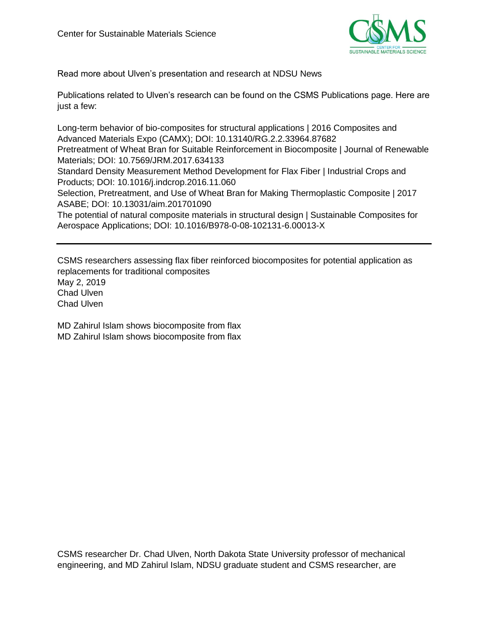

Read more about Ulven's presentation and research at NDSU News

Publications related to Ulven's research can be found on the CSMS Publications page. Here are just a few:

Long-term behavior of bio-composites for structural applications | 2016 Composites and Advanced Materials Expo (CAMX); DOI: 10.13140/RG.2.2.33964.87682 Pretreatment of Wheat Bran for Suitable Reinforcement in Biocomposite | Journal of Renewable Materials; DOI: 10.7569/JRM.2017.634133 Standard Density Measurement Method Development for Flax Fiber | Industrial Crops and Products; DOI: 10.1016/j.indcrop.2016.11.060 Selection, Pretreatment, and Use of Wheat Bran for Making Thermoplastic Composite | 2017 ASABE; DOI: 10.13031/aim.201701090 The potential of natural composite materials in structural design | Sustainable Composites for Aerospace Applications; DOI: 10.1016/B978-0-08-102131-6.00013-X

CSMS researchers assessing flax fiber reinforced biocomposites for potential application as replacements for traditional composites May 2, 2019

Chad Ulven Chad Ulven

MD Zahirul Islam shows biocomposite from flax MD Zahirul Islam shows biocomposite from flax

CSMS researcher Dr. Chad Ulven, North Dakota State University professor of mechanical engineering, and MD Zahirul Islam, NDSU graduate student and CSMS researcher, are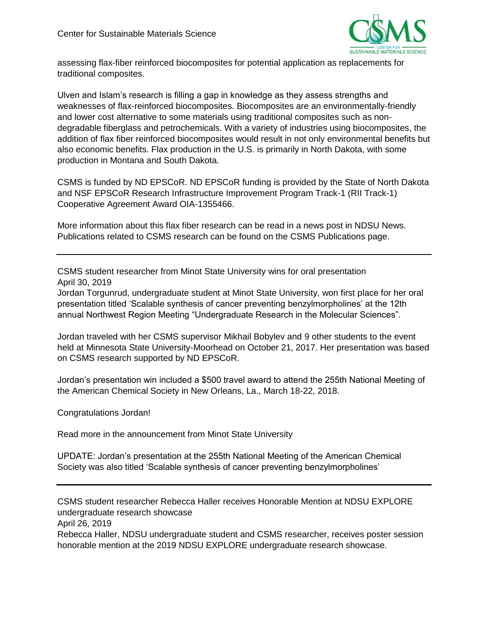

assessing flax-fiber reinforced biocomposites for potential application as replacements for traditional composites.

Ulven and Islam's research is filling a gap in knowledge as they assess strengths and weaknesses of flax-reinforced biocomposites. Biocomposites are an environmentally-friendly and lower cost alternative to some materials using traditional composites such as nondegradable fiberglass and petrochemicals. With a variety of industries using biocomposites, the addition of flax fiber reinforced biocomposites would result in not only environmental benefits but also economic benefits. Flax production in the U.S. is primarily in North Dakota, with some production in Montana and South Dakota.

CSMS is funded by ND EPSCoR. ND EPSCoR funding is provided by the State of North Dakota and NSF EPSCoR Research Infrastructure Improvement Program Track-1 (RII Track-1) Cooperative Agreement Award OIA-1355466.

More information about this flax fiber research can be read in a news post in NDSU News. Publications related to CSMS research can be found on the CSMS Publications page.

CSMS student researcher from Minot State University wins for oral presentation April 30, 2019

Jordan Torgunrud, undergraduate student at Minot State University, won first place for her oral presentation titled 'Scalable synthesis of cancer preventing benzylmorpholines' at the 12th annual Northwest Region Meeting "Undergraduate Research in the Molecular Sciences".

Jordan traveled with her CSMS supervisor Mikhail Bobylev and 9 other students to the event held at Minnesota State University-Moorhead on October 21, 2017. Her presentation was based on CSMS research supported by ND EPSCoR.

Jordan's presentation win included a \$500 travel award to attend the 255th National Meeting of the American Chemical Society in New Orleans, La., March 18-22, 2018.

Congratulations Jordan!

Read more in the announcement from Minot State University

UPDATE: Jordan's presentation at the 255th National Meeting of the American Chemical Society was also titled 'Scalable synthesis of cancer preventing benzylmorpholines'

CSMS student researcher Rebecca Haller receives Honorable Mention at NDSU EXPLORE undergraduate research showcase

April 26, 2019

Rebecca Haller, NDSU undergraduate student and CSMS researcher, receives poster session honorable mention at the 2019 NDSU EXPLORE undergraduate research showcase.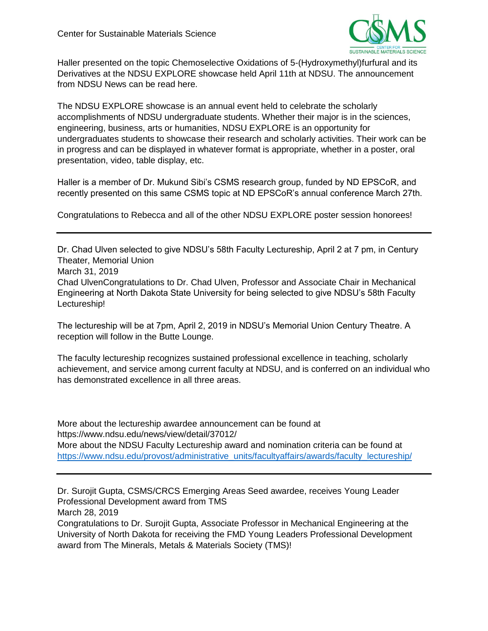

Haller presented on the topic Chemoselective Oxidations of 5-(Hydroxymethyl)furfural and its Derivatives at the NDSU EXPLORE showcase held April 11th at NDSU. The announcement from NDSU News can be read here.

The NDSU EXPLORE showcase is an annual event held to celebrate the scholarly accomplishments of NDSU undergraduate students. Whether their major is in the sciences, engineering, business, arts or humanities, NDSU EXPLORE is an opportunity for undergraduates students to showcase their research and scholarly activities. Their work can be in progress and can be displayed in whatever format is appropriate, whether in a poster, oral presentation, video, table display, etc.

Haller is a member of Dr. Mukund Sibi's CSMS research group, funded by ND EPSCoR, and recently presented on this same CSMS topic at ND EPSCoR's annual conference March 27th.

Congratulations to Rebecca and all of the other NDSU EXPLORE poster session honorees!

Dr. Chad Ulven selected to give NDSU's 58th Faculty Lectureship, April 2 at 7 pm, in Century Theater, Memorial Union March 31, 2019 Chad UlvenCongratulations to Dr. Chad Ulven, Professor and Associate Chair in Mechanical Engineering at North Dakota State University for being selected to give NDSU's 58th Faculty Lectureship!

The lectureship will be at 7pm, April 2, 2019 in NDSU's Memorial Union Century Theatre. A reception will follow in the Butte Lounge.

The faculty lectureship recognizes sustained professional excellence in teaching, scholarly achievement, and service among current faculty at NDSU, and is conferred on an individual who has demonstrated excellence in all three areas.

More about the lectureship awardee announcement can be found at https://www.ndsu.edu/news/view/detail/37012/ More about the NDSU Faculty Lectureship award and nomination criteria can be found at [https://www.ndsu.edu/provost/administrative\\_units/facultyaffairs/awards/faculty\\_lectureship/](https://www.ndsu.edu/provost/administrative_units/facultyaffairs/awards/faculty_lectureship/)

Dr. Surojit Gupta, CSMS/CRCS Emerging Areas Seed awardee, receives Young Leader Professional Development award from TMS

March 28, 2019

Congratulations to Dr. Surojit Gupta, Associate Professor in Mechanical Engineering at the University of North Dakota for receiving the FMD Young Leaders Professional Development award from The Minerals, Metals & Materials Society (TMS)!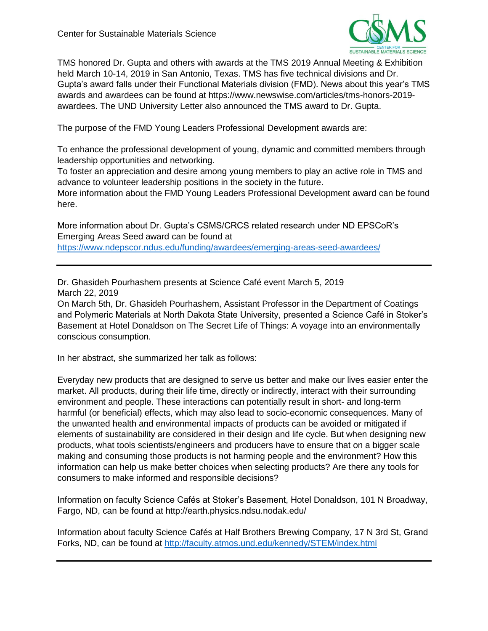

TMS honored Dr. Gupta and others with awards at the TMS 2019 Annual Meeting & Exhibition held March 10-14, 2019 in San Antonio, Texas. TMS has five technical divisions and Dr. Gupta's award falls under their Functional Materials division (FMD). News about this year's TMS awards and awardees can be found at https://www.newswise.com/articles/tms-honors-2019 awardees. The UND University Letter also announced the TMS award to Dr. Gupta.

The purpose of the FMD Young Leaders Professional Development awards are:

To enhance the professional development of young, dynamic and committed members through leadership opportunities and networking.

To foster an appreciation and desire among young members to play an active role in TMS and advance to volunteer leadership positions in the society in the future.

More information about the FMD Young Leaders Professional Development award can be found here.

More information about Dr. Gupta's CSMS/CRCS related research under ND EPSCoR's Emerging Areas Seed award can be found at <https://www.ndepscor.ndus.edu/funding/awardees/emerging-areas-seed-awardees/>

Dr. Ghasideh Pourhashem presents at Science Café event March 5, 2019 March 22, 2019

On March 5th, Dr. Ghasideh Pourhashem, Assistant Professor in the Department of Coatings and Polymeric Materials at North Dakota State University, presented a Science Café in Stoker's Basement at Hotel Donaldson on The Secret Life of Things: A voyage into an environmentally conscious consumption.

In her abstract, she summarized her talk as follows:

Everyday new products that are designed to serve us better and make our lives easier enter the market. All products, during their life time, directly or indirectly, interact with their surrounding environment and people. These interactions can potentially result in short- and long-term harmful (or beneficial) effects, which may also lead to socio-economic consequences. Many of the unwanted health and environmental impacts of products can be avoided or mitigated if elements of sustainability are considered in their design and life cycle. But when designing new products, what tools scientists/engineers and producers have to ensure that on a bigger scale making and consuming those products is not harming people and the environment? How this information can help us make better choices when selecting products? Are there any tools for consumers to make informed and responsible decisions?

Information on faculty Science Cafés at Stoker's Basement, Hotel Donaldson, 101 N Broadway, Fargo, ND, can be found at http://earth.physics.ndsu.nodak.edu/

Information about faculty Science Cafés at Half Brothers Brewing Company, 17 N 3rd St, Grand Forks, ND, can be found at<http://faculty.atmos.und.edu/kennedy/STEM/index.html>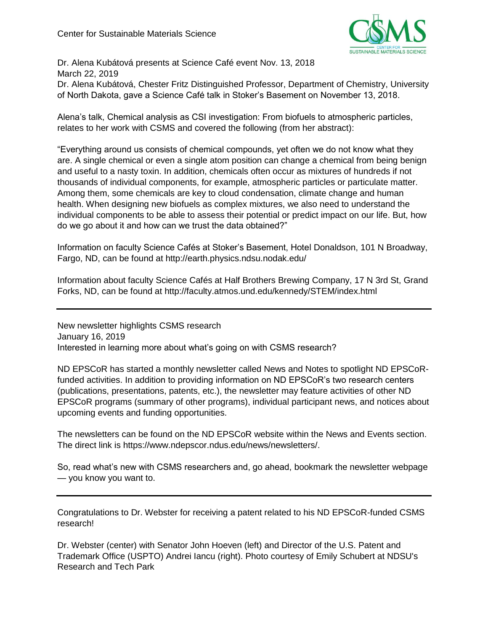

Dr. Alena Kubátová presents at Science Café event Nov. 13, 2018 March 22, 2019

Dr. Alena Kubátová, Chester Fritz Distinguished Professor, Department of Chemistry, University of North Dakota, gave a Science Café talk in Stoker's Basement on November 13, 2018.

Alena's talk, Chemical analysis as CSI investigation: From biofuels to atmospheric particles, relates to her work with CSMS and covered the following (from her abstract):

"Everything around us consists of chemical compounds, yet often we do not know what they are. A single chemical or even a single atom position can change a chemical from being benign and useful to a nasty toxin. In addition, chemicals often occur as mixtures of hundreds if not thousands of individual components, for example, atmospheric particles or particulate matter. Among them, some chemicals are key to cloud condensation, climate change and human health. When designing new biofuels as complex mixtures, we also need to understand the individual components to be able to assess their potential or predict impact on our life. But, how do we go about it and how can we trust the data obtained?"

Information on faculty Science Cafés at Stoker's Basement, Hotel Donaldson, 101 N Broadway, Fargo, ND, can be found at http://earth.physics.ndsu.nodak.edu/

Information about faculty Science Cafés at Half Brothers Brewing Company, 17 N 3rd St, Grand Forks, ND, can be found at http://faculty.atmos.und.edu/kennedy/STEM/index.html

New newsletter highlights CSMS research January 16, 2019 Interested in learning more about what's going on with CSMS research?

ND EPSCoR has started a monthly newsletter called News and Notes to spotlight ND EPSCoRfunded activities. In addition to providing information on ND EPSCoR's two research centers (publications, presentations, patents, etc.), the newsletter may feature activities of other ND EPSCoR programs (summary of other programs), individual participant news, and notices about upcoming events and funding opportunities.

The newsletters can be found on the ND EPSCoR website within the News and Events section. The direct link is https://www.ndepscor.ndus.edu/news/newsletters/.

So, read what's new with CSMS researchers and, go ahead, bookmark the newsletter webpage — you know you want to.

Congratulations to Dr. Webster for receiving a patent related to his ND EPSCoR-funded CSMS research!

Dr. Webster (center) with Senator John Hoeven (left) and Director of the U.S. Patent and Trademark Office (USPTO) Andrei Iancu (right). Photo courtesy of Emily Schubert at NDSU's Research and Tech Park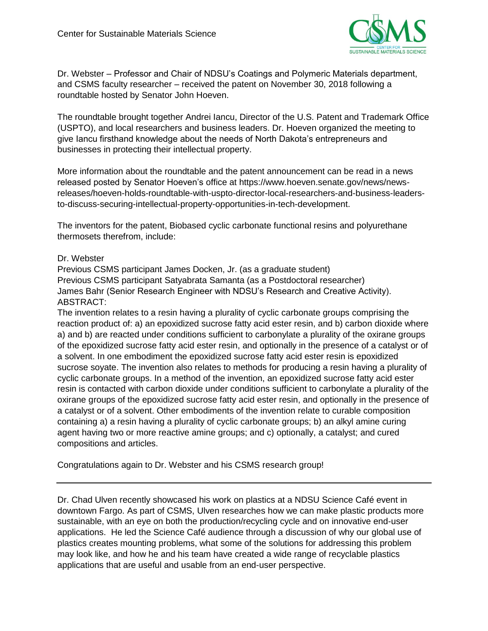

Dr. Webster – Professor and Chair of NDSU's Coatings and Polymeric Materials department, and CSMS faculty researcher – received the patent on November 30, 2018 following a roundtable hosted by Senator John Hoeven.

The roundtable brought together Andrei Iancu, Director of the U.S. Patent and Trademark Office (USPTO), and local researchers and business leaders. Dr. Hoeven organized the meeting to give Iancu firsthand knowledge about the needs of North Dakota's entrepreneurs and businesses in protecting their intellectual property.

More information about the roundtable and the patent announcement can be read in a news released posted by Senator Hoeven's office at https://www.hoeven.senate.gov/news/newsreleases/hoeven-holds-roundtable-with-uspto-director-local-researchers-and-business-leadersto-discuss-securing-intellectual-property-opportunities-in-tech-development.

The inventors for the patent, Biobased cyclic carbonate functional resins and polyurethane thermosets therefrom, include:

### Dr. Webster

Previous CSMS participant James Docken, Jr. (as a graduate student) Previous CSMS participant Satyabrata Samanta (as a Postdoctoral researcher) James Bahr (Senior Research Engineer with NDSU's Research and Creative Activity). ABSTRACT:

The invention relates to a resin having a plurality of cyclic carbonate groups comprising the reaction product of: a) an epoxidized sucrose fatty acid ester resin, and b) carbon dioxide where a) and b) are reacted under conditions sufficient to carbonylate a plurality of the oxirane groups of the epoxidized sucrose fatty acid ester resin, and optionally in the presence of a catalyst or of a solvent. In one embodiment the epoxidized sucrose fatty acid ester resin is epoxidized sucrose soyate. The invention also relates to methods for producing a resin having a plurality of cyclic carbonate groups. In a method of the invention, an epoxidized sucrose fatty acid ester resin is contacted with carbon dioxide under conditions sufficient to carbonylate a plurality of the oxirane groups of the epoxidized sucrose fatty acid ester resin, and optionally in the presence of a catalyst or of a solvent. Other embodiments of the invention relate to curable composition containing a) a resin having a plurality of cyclic carbonate groups; b) an alkyl amine curing agent having two or more reactive amine groups; and c) optionally, a catalyst; and cured compositions and articles.

Congratulations again to Dr. Webster and his CSMS research group!

Dr. Chad Ulven recently showcased his work on plastics at a NDSU Science Café event in downtown Fargo. As part of CSMS, Ulven researches how we can make plastic products more sustainable, with an eye on both the production/recycling cycle and on innovative end-user applications. He led the Science Café audience through a discussion of why our global use of plastics creates mounting problems, what some of the solutions for addressing this problem may look like, and how he and his team have created a wide range of recyclable plastics applications that are useful and usable from an end-user perspective.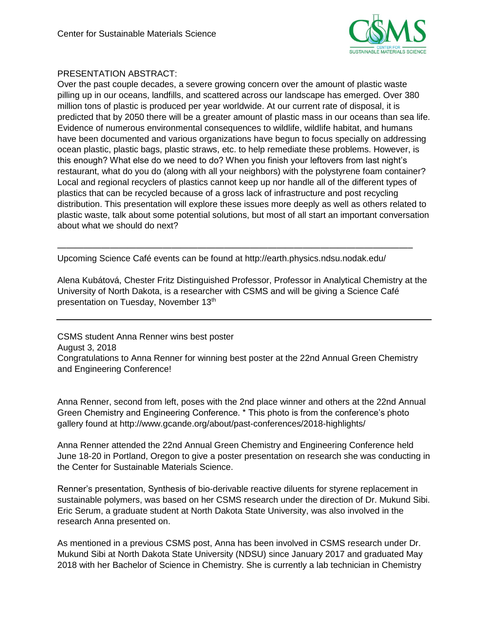

# PRESENTATION ABSTRACT:

Over the past couple decades, a severe growing concern over the amount of plastic waste pilling up in our oceans, landfills, and scattered across our landscape has emerged. Over 380 million tons of plastic is produced per year worldwide. At our current rate of disposal, it is predicted that by 2050 there will be a greater amount of plastic mass in our oceans than sea life. Evidence of numerous environmental consequences to wildlife, wildlife habitat, and humans have been documented and various organizations have begun to focus specially on addressing ocean plastic, plastic bags, plastic straws, etc. to help remediate these problems. However, is this enough? What else do we need to do? When you finish your leftovers from last night's restaurant, what do you do (along with all your neighbors) with the polystyrene foam container? Local and regional recyclers of plastics cannot keep up nor handle all of the different types of plastics that can be recycled because of a gross lack of infrastructure and post recycling distribution. This presentation will explore these issues more deeply as well as others related to plastic waste, talk about some potential solutions, but most of all start an important conversation about what we should do next?

Upcoming Science Café events can be found at http://earth.physics.ndsu.nodak.edu/

————————————————————————————————————————–

Alena Kubátová, Chester Fritz Distinguished Professor, Professor in Analytical Chemistry at the University of North Dakota, is a researcher with CSMS and will be giving a Science Café presentation on Tuesday, November 13<sup>th</sup>

CSMS student Anna Renner wins best poster August 3, 2018 Congratulations to Anna Renner for winning best poster at the 22nd Annual Green Chemistry and Engineering Conference!

Anna Renner, second from left, poses with the 2nd place winner and others at the 22nd Annual Green Chemistry and Engineering Conference. \* This photo is from the conference's photo gallery found at http://www.gcande.org/about/past-conferences/2018-highlights/

Anna Renner attended the 22nd Annual Green Chemistry and Engineering Conference held June 18-20 in Portland, Oregon to give a poster presentation on research she was conducting in the Center for Sustainable Materials Science.

Renner's presentation, Synthesis of bio-derivable reactive diluents for styrene replacement in sustainable polymers, was based on her CSMS research under the direction of Dr. Mukund Sibi. Eric Serum, a graduate student at North Dakota State University, was also involved in the research Anna presented on.

As mentioned in a previous CSMS post, Anna has been involved in CSMS research under Dr. Mukund Sibi at North Dakota State University (NDSU) since January 2017 and graduated May 2018 with her Bachelor of Science in Chemistry. She is currently a lab technician in Chemistry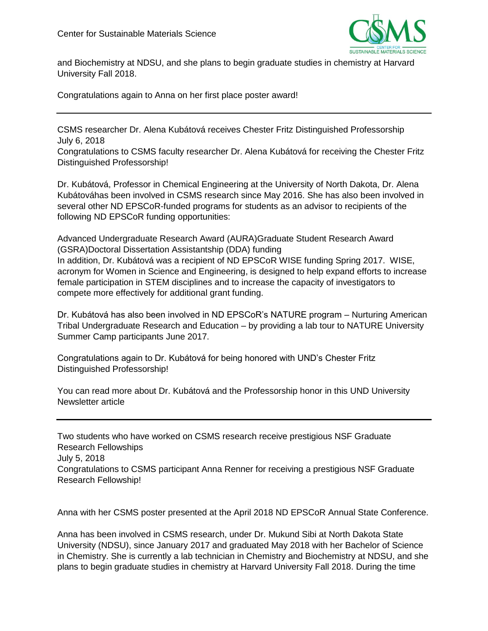

and Biochemistry at NDSU, and she plans to begin graduate studies in chemistry at Harvard University Fall 2018.

Congratulations again to Anna on her first place poster award!

CSMS researcher Dr. Alena Kubátová receives Chester Fritz Distinguished Professorship July 6, 2018

Congratulations to CSMS faculty researcher Dr. Alena Kubátová for receiving the Chester Fritz Distinguished Professorship!

Dr. Kubátová, Professor in Chemical Engineering at the University of North Dakota, Dr. Alena Kubátováhas been involved in CSMS research since May 2016. She has also been involved in several other ND EPSCoR-funded programs for students as an advisor to recipients of the following ND EPSCoR funding opportunities:

Advanced Undergraduate Research Award (AURA)Graduate Student Research Award (GSRA)Doctoral Dissertation Assistantship (DDA) funding In addition, Dr. Kubátová was a recipient of ND EPSCoR WISE funding Spring 2017. WISE, acronym for Women in Science and Engineering, is designed to help expand efforts to increase female participation in STEM disciplines and to increase the capacity of investigators to compete more effectively for additional grant funding.

Dr. Kubátová has also been involved in ND EPSCoR's NATURE program – Nurturing American Tribal Undergraduate Research and Education – by providing a lab tour to NATURE University Summer Camp participants June 2017.

Congratulations again to Dr. Kubátová for being honored with UND's Chester Fritz Distinguished Professorship!

You can read more about Dr. Kubátová and the Professorship honor in this UND University Newsletter article

Two students who have worked on CSMS research receive prestigious NSF Graduate Research Fellowships July 5, 2018 Congratulations to CSMS participant Anna Renner for receiving a prestigious NSF Graduate Research Fellowship!

Anna with her CSMS poster presented at the April 2018 ND EPSCoR Annual State Conference.

Anna has been involved in CSMS research, under Dr. Mukund Sibi at North Dakota State University (NDSU), since January 2017 and graduated May 2018 with her Bachelor of Science in Chemistry. She is currently a lab technician in Chemistry and Biochemistry at NDSU, and she plans to begin graduate studies in chemistry at Harvard University Fall 2018. During the time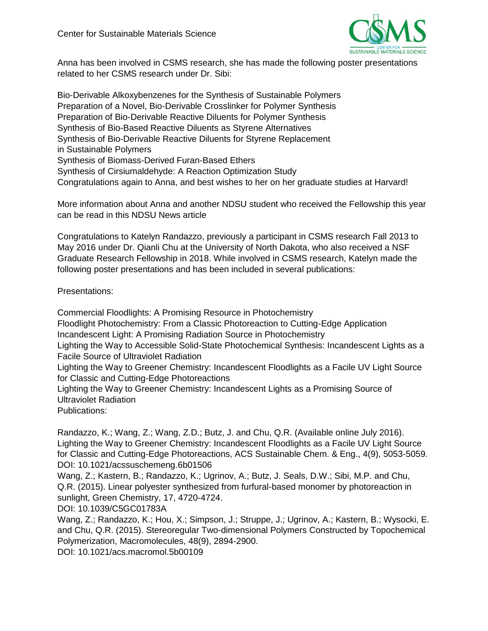

Anna has been involved in CSMS research, she has made the following poster presentations related to her CSMS research under Dr. Sibi:

Bio-Derivable Alkoxybenzenes for the Synthesis of Sustainable Polymers Preparation of a Novel, Bio-Derivable Crosslinker for Polymer Synthesis Preparation of Bio-Derivable Reactive Diluents for Polymer Synthesis Synthesis of Bio-Based Reactive Diluents as Styrene Alternatives Synthesis of Bio-Derivable Reactive Diluents for Styrene Replacement in Sustainable Polymers Synthesis of Biomass-Derived Furan-Based Ethers Synthesis of Cirsiumaldehyde: A Reaction Optimization Study Congratulations again to Anna, and best wishes to her on her graduate studies at Harvard!

More information about Anna and another NDSU student who received the Fellowship this year can be read in this NDSU News article

Congratulations to Katelyn Randazzo, previously a participant in CSMS research Fall 2013 to May 2016 under Dr. Qianli Chu at the University of North Dakota, who also received a NSF Graduate Research Fellowship in 2018. While involved in CSMS research, Katelyn made the following poster presentations and has been included in several publications:

Presentations:

Commercial Floodlights: A Promising Resource in Photochemistry Floodlight Photochemistry: From a Classic Photoreaction to Cutting-Edge Application Incandescent Light: A Promising Radiation Source in Photochemistry Lighting the Way to Accessible Solid-State Photochemical Synthesis: Incandescent Lights as a Facile Source of Ultraviolet Radiation Lighting the Way to Greener Chemistry: Incandescent Floodlights as a Facile UV Light Source for Classic and Cutting-Edge Photoreactions Lighting the Way to Greener Chemistry: Incandescent Lights as a Promising Source of Ultraviolet Radiation Publications:

Randazzo, K.; Wang, Z.; Wang, Z.D.; Butz, J. and Chu, Q.R. (Available online July 2016). Lighting the Way to Greener Chemistry: Incandescent Floodlights as a Facile UV Light Source for Classic and Cutting-Edge Photoreactions, ACS Sustainable Chem. & Eng., 4(9), 5053-5059. DOI: 10.1021/acssuschemeng.6b01506

Wang, Z.; Kastern, B.; Randazzo, K.; Ugrinov, A.; Butz, J. Seals, D.W.; Sibi, M.P. and Chu, Q.R. (2015). Linear polyester synthesized from furfural-based monomer by photoreaction in sunlight, Green Chemistry, 17, 4720-4724.

DOI: 10.1039/C5GC01783A

Wang, Z.; Randazzo, K.; Hou, X.; Simpson, J.; Struppe, J.; Ugrinov, A.; Kastern, B.; Wysocki, E. and Chu, Q.R. (2015). Stereoregular Two-dimensional Polymers Constructed by Topochemical Polymerization, Macromolecules, 48(9), 2894-2900.

DOI: 10.1021/acs.macromol.5b00109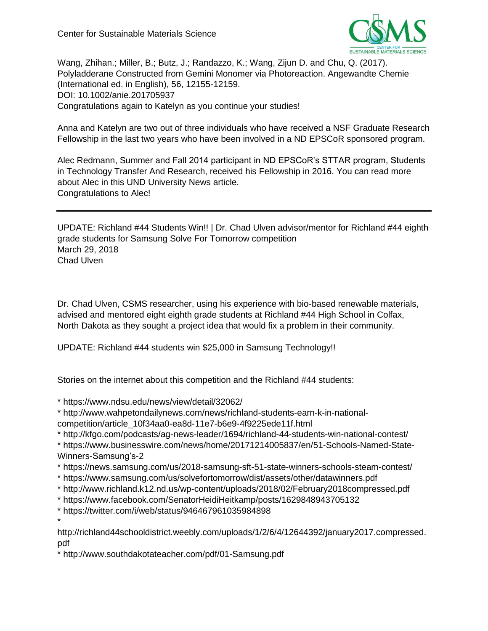

Wang, Zhihan.; Miller, B.; Butz, J.; Randazzo, K.; Wang, Zijun D. and Chu, Q. (2017). Polyladderane Constructed from Gemini Monomer via Photoreaction. Angewandte Chemie (International ed. in English), 56, 12155-12159. DOI: 10.1002/anie.201705937 Congratulations again to Katelyn as you continue your studies!

Anna and Katelyn are two out of three individuals who have received a NSF Graduate Research Fellowship in the last two years who have been involved in a ND EPSCoR sponsored program.

Alec Redmann, Summer and Fall 2014 participant in ND EPSCoR's STTAR program, Students in Technology Transfer And Research, received his Fellowship in 2016. You can read more about Alec in this UND University News article. Congratulations to Alec!

UPDATE: Richland #44 Students Win!! | Dr. Chad Ulven advisor/mentor for Richland #44 eighth grade students for Samsung Solve For Tomorrow competition March 29, 2018 Chad Ulven

Dr. Chad Ulven, CSMS researcher, using his experience with bio-based renewable materials, advised and mentored eight eighth grade students at Richland #44 High School in Colfax, North Dakota as they sought a project idea that would fix a problem in their community.

UPDATE: Richland #44 students win \$25,000 in Samsung Technology!!

Stories on the internet about this competition and the Richland #44 students:

\* https://www.ndsu.edu/news/view/detail/32062/

\* http://www.wahpetondailynews.com/news/richland-students-earn-k-in-nationalcompetition/article\_10f34aa0-ea8d-11e7-b6e9-4f9225ede11f.html

\* http://kfgo.com/podcasts/ag-news-leader/1694/richland-44-students-win-national-contest/

\* https://www.businesswire.com/news/home/20171214005837/en/51-Schools-Named-State-Winners-Samsung's-2

- \* https://news.samsung.com/us/2018-samsung-sft-51-state-winners-schools-steam-contest/
- \* https://www.samsung.com/us/solvefortomorrow/dist/assets/other/datawinners.pdf
- \* http://www.richland.k12.nd.us/wp-content/uploads/2018/02/February2018compressed.pdf
- \* https://www.facebook.com/SenatorHeidiHeitkamp/posts/1629848943705132
- \* https://twitter.com/i/web/status/946467961035984898

\* http://richland44schooldistrict.weebly.com/uploads/1/2/6/4/12644392/january2017.compressed. pdf

\* http://www.southdakotateacher.com/pdf/01-Samsung.pdf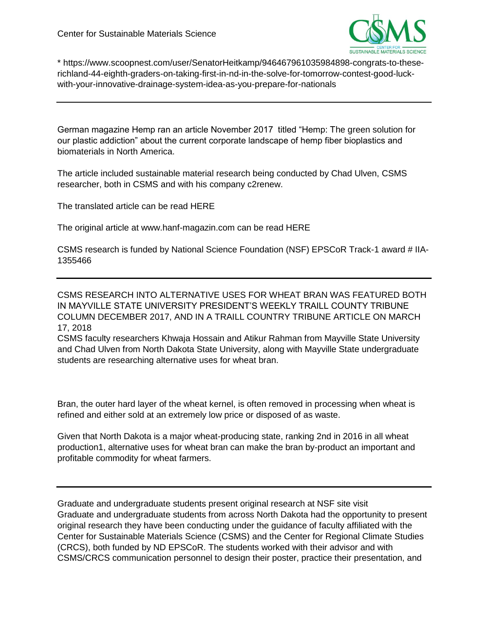

\* https://www.scoopnest.com/user/SenatorHeitkamp/946467961035984898-congrats-to-theserichland-44-eighth-graders-on-taking-first-in-nd-in-the-solve-for-tomorrow-contest-good-luckwith-your-innovative-drainage-system-idea-as-you-prepare-for-nationals

German magazine Hemp ran an article November 2017 titled "Hemp: The green solution for our plastic addiction" about the current corporate landscape of hemp fiber bioplastics and biomaterials in North America.

The article included sustainable material research being conducted by Chad Ulven, CSMS researcher, both in CSMS and with his company c2renew.

The translated article can be read HERE

The original article at www.hanf-magazin.com can be read HERE

CSMS research is funded by National Science Foundation (NSF) EPSCoR Track-1 award # IIA-1355466

CSMS RESEARCH INTO ALTERNATIVE USES FOR WHEAT BRAN WAS FEATURED BOTH IN MAYVILLE STATE UNIVERSITY PRESIDENT'S WEEKLY TRAILL COUNTY TRIBUNE COLUMN DECEMBER 2017, AND IN A TRAILL COUNTRY TRIBUNE ARTICLE ON MARCH 17, 2018

CSMS faculty researchers Khwaja Hossain and Atikur Rahman from Mayville State University and Chad Ulven from North Dakota State University, along with Mayville State undergraduate students are researching alternative uses for wheat bran.

Bran, the outer hard layer of the wheat kernel, is often removed in processing when wheat is refined and either sold at an extremely low price or disposed of as waste.

Given that North Dakota is a major wheat-producing state, ranking 2nd in 2016 in all wheat production1, alternative uses for wheat bran can make the bran by-product an important and profitable commodity for wheat farmers.

Graduate and undergraduate students present original research at NSF site visit Graduate and undergraduate students from across North Dakota had the opportunity to present original research they have been conducting under the guidance of faculty affiliated with the Center for Sustainable Materials Science (CSMS) and the Center for Regional Climate Studies (CRCS), both funded by ND EPSCoR. The students worked with their advisor and with CSMS/CRCS communication personnel to design their poster, practice their presentation, and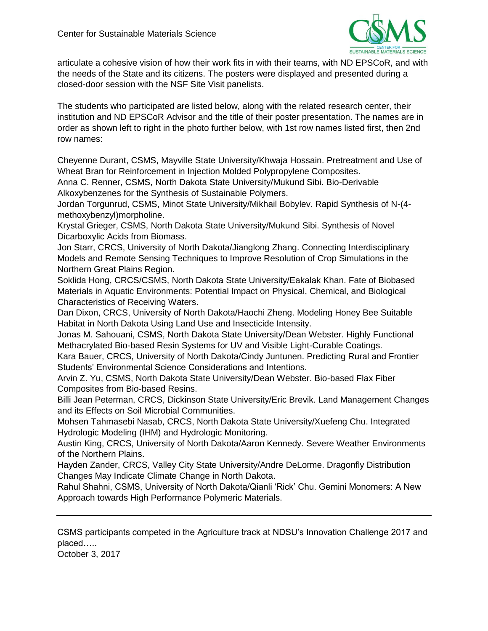

articulate a cohesive vision of how their work fits in with their teams, with ND EPSCoR, and with the needs of the State and its citizens. The posters were displayed and presented during a closed-door session with the NSF Site Visit panelists.

The students who participated are listed below, along with the related research center, their institution and ND EPSCoR Advisor and the title of their poster presentation. The names are in order as shown left to right in the photo further below, with 1st row names listed first, then 2nd row names:

Cheyenne Durant, CSMS, Mayville State University/Khwaja Hossain. Pretreatment and Use of Wheat Bran for Reinforcement in Injection Molded Polypropylene Composites.

Anna C. Renner, CSMS, North Dakota State University/Mukund Sibi. Bio-Derivable Alkoxybenzenes for the Synthesis of Sustainable Polymers.

Jordan Torgunrud, CSMS, Minot State University/Mikhail Bobylev. Rapid Synthesis of N-(4 methoxybenzyl)morpholine.

Krystal Grieger, CSMS, North Dakota State University/Mukund Sibi. Synthesis of Novel Dicarboxylic Acids from Biomass.

Jon Starr, CRCS, University of North Dakota/Jianglong Zhang. Connecting Interdisciplinary Models and Remote Sensing Techniques to Improve Resolution of Crop Simulations in the Northern Great Plains Region.

Soklida Hong, CRCS/CSMS, North Dakota State University/Eakalak Khan. Fate of Biobased Materials in Aquatic Environments: Potential Impact on Physical, Chemical, and Biological Characteristics of Receiving Waters.

Dan Dixon, CRCS, University of North Dakota/Haochi Zheng. Modeling Honey Bee Suitable Habitat in North Dakota Using Land Use and Insecticide Intensity.

Jonas M. Sahouani, CSMS, North Dakota State University/Dean Webster. Highly Functional Methacrylated Bio-based Resin Systems for UV and Visible Light-Curable Coatings.

Kara Bauer, CRCS, University of North Dakota/Cindy Juntunen. Predicting Rural and Frontier Students' Environmental Science Considerations and Intentions.

Arvin Z. Yu, CSMS, North Dakota State University/Dean Webster. Bio-based Flax Fiber Composites from Bio-based Resins.

Billi Jean Peterman, CRCS, Dickinson State University/Eric Brevik. Land Management Changes and its Effects on Soil Microbial Communities.

Mohsen Tahmasebi Nasab, CRCS, North Dakota State University/Xuefeng Chu. Integrated Hydrologic Modeling (IHM) and Hydrologic Monitoring.

Austin King, CRCS, University of North Dakota/Aaron Kennedy. Severe Weather Environments of the Northern Plains.

Hayden Zander, CRCS, Valley City State University/Andre DeLorme. Dragonfly Distribution Changes May Indicate Climate Change in North Dakota.

Rahul Shahni, CSMS, University of North Dakota/Qianli 'Rick' Chu. Gemini Monomers: A New Approach towards High Performance Polymeric Materials.

CSMS participants competed in the Agriculture track at NDSU's Innovation Challenge 2017 and placed…..

October 3, 2017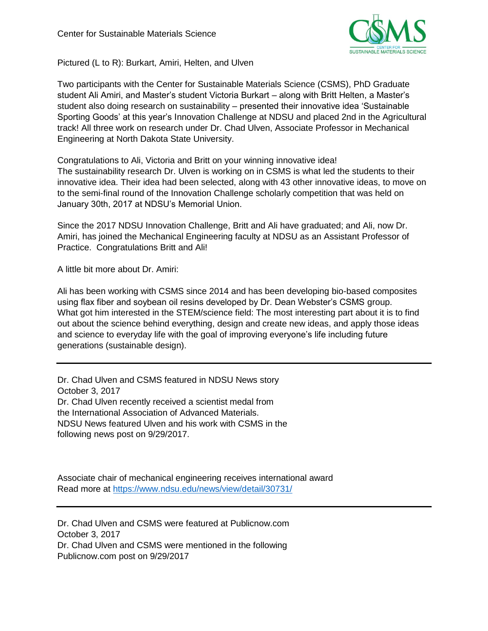

Pictured (L to R): Burkart, Amiri, Helten, and Ulven

Two participants with the Center for Sustainable Materials Science (CSMS), PhD Graduate student Ali Amiri, and Master's student Victoria Burkart – along with Britt Helten, a Master's student also doing research on sustainability – presented their innovative idea 'Sustainable Sporting Goods' at this year's Innovation Challenge at NDSU and placed 2nd in the Agricultural track! All three work on research under Dr. Chad Ulven, Associate Professor in Mechanical Engineering at North Dakota State University.

Congratulations to Ali, Victoria and Britt on your winning innovative idea! The sustainability research Dr. Ulven is working on in CSMS is what led the students to their innovative idea. Their idea had been selected, along with 43 other innovative ideas, to move on to the semi-final round of the Innovation Challenge scholarly competition that was held on January 30th, 2017 at NDSU's Memorial Union.

Since the 2017 NDSU Innovation Challenge, Britt and Ali have graduated; and Ali, now Dr. Amiri, has joined the Mechanical Engineering faculty at NDSU as an Assistant Professor of Practice. Congratulations Britt and Ali!

A little bit more about Dr. Amiri:

Ali has been working with CSMS since 2014 and has been developing bio-based composites using flax fiber and soybean oil resins developed by Dr. Dean Webster's CSMS group. What got him interested in the STEM/science field: The most interesting part about it is to find out about the science behind everything, design and create new ideas, and apply those ideas and science to everyday life with the goal of improving everyone's life including future generations (sustainable design).

Dr. Chad Ulven and CSMS featured in NDSU News story October 3, 2017 Dr. Chad Ulven recently received a scientist medal from the International Association of Advanced Materials. NDSU News featured Ulven and his work with CSMS in the following news post on 9/29/2017.

Associate chair of mechanical engineering receives international award Read more at<https://www.ndsu.edu/news/view/detail/30731/>

Dr. Chad Ulven and CSMS were featured at Publicnow.com October 3, 2017 Dr. Chad Ulven and CSMS were mentioned in the following Publicnow.com post on 9/29/2017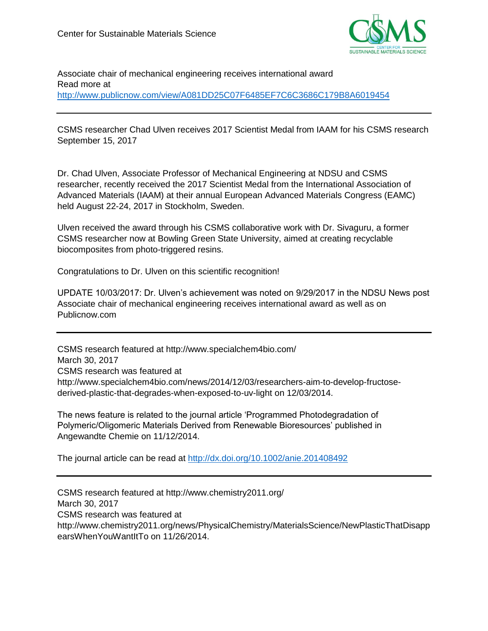

Associate chair of mechanical engineering receives international award Read more at <http://www.publicnow.com/view/A081DD25C07F6485EF7C6C3686C179B8A6019454>

CSMS researcher Chad Ulven receives 2017 Scientist Medal from IAAM for his CSMS research September 15, 2017

Dr. Chad Ulven, Associate Professor of Mechanical Engineering at NDSU and CSMS researcher, recently received the 2017 Scientist Medal from the International Association of Advanced Materials (IAAM) at their annual European Advanced Materials Congress (EAMC) held August 22-24, 2017 in Stockholm, Sweden.

Ulven received the award through his CSMS collaborative work with Dr. Sivaguru, a former CSMS researcher now at Bowling Green State University, aimed at creating recyclable biocomposites from photo-triggered resins.

Congratulations to Dr. Ulven on this scientific recognition!

UPDATE 10/03/2017: Dr. Ulven's achievement was noted on 9/29/2017 in the NDSU News post Associate chair of mechanical engineering receives international award as well as on Publicnow.com

CSMS research featured at http://www.specialchem4bio.com/ March 30, 2017 CSMS research was featured at http://www.specialchem4bio.com/news/2014/12/03/researchers-aim-to-develop-fructosederived-plastic-that-degrades-when-exposed-to-uv-light on 12/03/2014.

The news feature is related to the journal article 'Programmed Photodegradation of Polymeric/Oligomeric Materials Derived from Renewable Bioresources' published in Angewandte Chemie on 11/12/2014.

The journal article can be read at<http://dx.doi.org/10.1002/anie.201408492>

CSMS research featured at http://www.chemistry2011.org/ March 30, 2017 CSMS research was featured at http://www.chemistry2011.org/news/PhysicalChemistry/MaterialsScience/NewPlasticThatDisapp earsWhenYouWantItTo on 11/26/2014.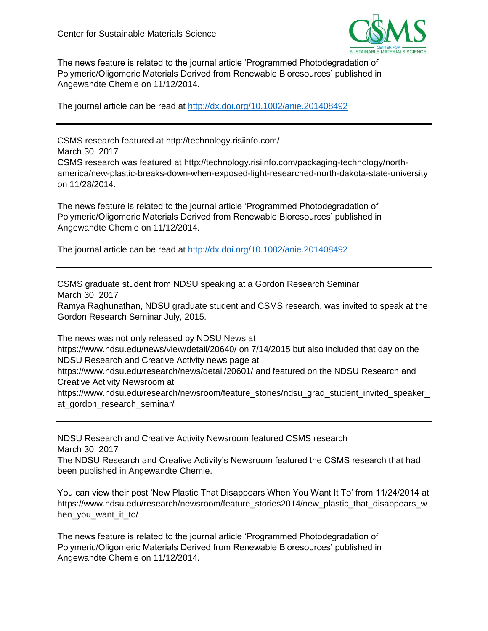

The news feature is related to the journal article 'Programmed Photodegradation of Polymeric/Oligomeric Materials Derived from Renewable Bioresources' published in Angewandte Chemie on 11/12/2014.

The journal article can be read at<http://dx.doi.org/10.1002/anie.201408492>

CSMS research featured at http://technology.risiinfo.com/ March 30, 2017 CSMS research was featured at http://technology.risiinfo.com/packaging-technology/northamerica/new-plastic-breaks-down-when-exposed-light-researched-north-dakota-state-university on 11/28/2014.

The news feature is related to the journal article 'Programmed Photodegradation of Polymeric/Oligomeric Materials Derived from Renewable Bioresources' published in Angewandte Chemie on 11/12/2014.

The journal article can be read at<http://dx.doi.org/10.1002/anie.201408492>

CSMS graduate student from NDSU speaking at a Gordon Research Seminar March 30, 2017

Ramya Raghunathan, NDSU graduate student and CSMS research, was invited to speak at the Gordon Research Seminar July, 2015.

The news was not only released by NDSU News at https://www.ndsu.edu/news/view/detail/20640/ on 7/14/2015 but also included that day on the NDSU Research and Creative Activity news page at https://www.ndsu.edu/research/news/detail/20601/ and featured on the NDSU Research and Creative Activity Newsroom at https://www.ndsu.edu/research/newsroom/feature\_stories/ndsu\_grad\_student\_invited\_speaker\_ at gordon research seminar/

NDSU Research and Creative Activity Newsroom featured CSMS research March 30, 2017

The NDSU Research and Creative Activity's Newsroom featured the CSMS research that had been published in Angewandte Chemie.

You can view their post 'New Plastic That Disappears When You Want It To' from 11/24/2014 at https://www.ndsu.edu/research/newsroom/feature\_stories2014/new\_plastic\_that\_disappears\_w hen you want it to/

The news feature is related to the journal article 'Programmed Photodegradation of Polymeric/Oligomeric Materials Derived from Renewable Bioresources' published in Angewandte Chemie on 11/12/2014.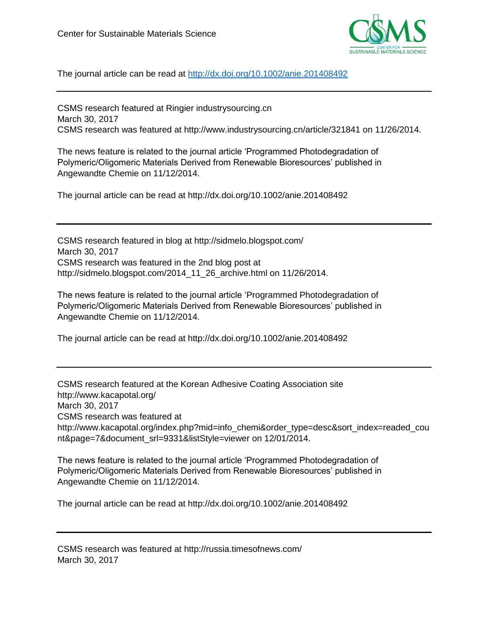

The journal article can be read at<http://dx.doi.org/10.1002/anie.201408492>

CSMS research featured at Ringier industrysourcing.cn March 30, 2017 CSMS research was featured at http://www.industrysourcing.cn/article/321841 on 11/26/2014.

The news feature is related to the journal article 'Programmed Photodegradation of Polymeric/Oligomeric Materials Derived from Renewable Bioresources' published in Angewandte Chemie on 11/12/2014.

The journal article can be read at http://dx.doi.org/10.1002/anie.201408492

CSMS research featured in blog at http://sidmelo.blogspot.com/ March 30, 2017 CSMS research was featured in the 2nd blog post at http://sidmelo.blogspot.com/2014\_11\_26\_archive.html on 11/26/2014.

The news feature is related to the journal article 'Programmed Photodegradation of Polymeric/Oligomeric Materials Derived from Renewable Bioresources' published in Angewandte Chemie on 11/12/2014.

The journal article can be read at http://dx.doi.org/10.1002/anie.201408492

CSMS research featured at the Korean Adhesive Coating Association site http://www.kacapotal.org/ March 30, 2017 CSMS research was featured at http://www.kacapotal.org/index.php?mid=info\_chemi&order\_type=desc&sort\_index=readed\_cou nt&page=7&document\_srl=9331&listStyle=viewer on 12/01/2014.

The news feature is related to the journal article 'Programmed Photodegradation of Polymeric/Oligomeric Materials Derived from Renewable Bioresources' published in Angewandte Chemie on 11/12/2014.

The journal article can be read at http://dx.doi.org/10.1002/anie.201408492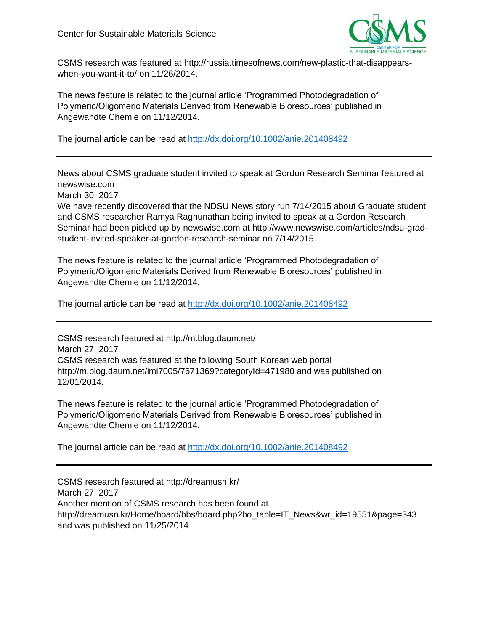

CSMS research was featured at http://russia.timesofnews.com/new-plastic-that-disappearswhen-you-want-it-to/ on 11/26/2014.

The news feature is related to the journal article 'Programmed Photodegradation of Polymeric/Oligomeric Materials Derived from Renewable Bioresources' published in Angewandte Chemie on 11/12/2014.

The journal article can be read at<http://dx.doi.org/10.1002/anie.201408492>

News about CSMS graduate student invited to speak at Gordon Research Seminar featured at newswise.com

March 30, 2017

We have recently discovered that the NDSU News story run 7/14/2015 about Graduate student and CSMS researcher Ramya Raghunathan being invited to speak at a Gordon Research Seminar had been picked up by newswise.com at http://www.newswise.com/articles/ndsu-gradstudent-invited-speaker-at-gordon-research-seminar on 7/14/2015.

The news feature is related to the journal article 'Programmed Photodegradation of Polymeric/Oligomeric Materials Derived from Renewable Bioresources' published in Angewandte Chemie on 11/12/2014.

The journal article can be read at<http://dx.doi.org/10.1002/anie.201408492>

CSMS research featured at http://m.blog.daum.net/ March 27, 2017 CSMS research was featured at the following South Korean web portal http://m.blog.daum.net/imi7005/7671369?categoryId=471980 and was published on 12/01/2014.

The news feature is related to the journal article 'Programmed Photodegradation of Polymeric/Oligomeric Materials Derived from Renewable Bioresources' published in Angewandte Chemie on 11/12/2014.

The journal article can be read at<http://dx.doi.org/10.1002/anie.201408492>

CSMS research featured at http://dreamusn.kr/ March 27, 2017 Another mention of CSMS research has been found at http://dreamusn.kr/Home/board/bbs/board.php?bo\_table=IT\_News&wr\_id=19551&page=343 and was published on 11/25/2014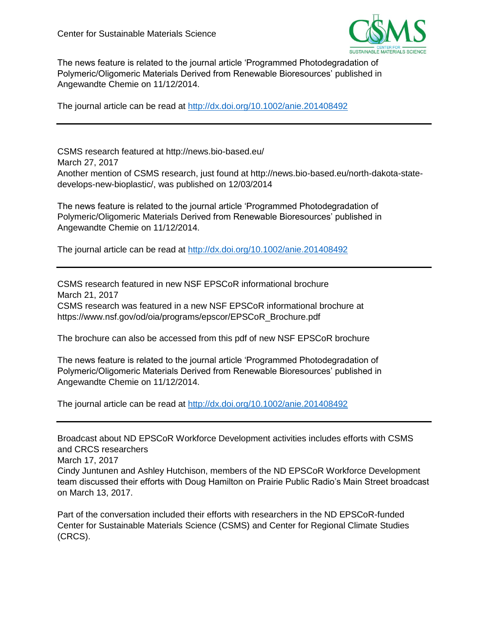

The news feature is related to the journal article 'Programmed Photodegradation of Polymeric/Oligomeric Materials Derived from Renewable Bioresources' published in Angewandte Chemie on 11/12/2014.

The journal article can be read at<http://dx.doi.org/10.1002/anie.201408492>

CSMS research featured at http://news.bio-based.eu/ March 27, 2017 Another mention of CSMS research, just found at http://news.bio-based.eu/north-dakota-statedevelops-new-bioplastic/, was published on 12/03/2014

The news feature is related to the journal article 'Programmed Photodegradation of Polymeric/Oligomeric Materials Derived from Renewable Bioresources' published in Angewandte Chemie on 11/12/2014.

The journal article can be read at<http://dx.doi.org/10.1002/anie.201408492>

CSMS research featured in new NSF EPSCoR informational brochure March 21, 2017 CSMS research was featured in a new NSF EPSCoR informational brochure at https://www.nsf.gov/od/oia/programs/epscor/EPSCoR\_Brochure.pdf

The brochure can also be accessed from this pdf of new NSF EPSCoR brochure

The news feature is related to the journal article 'Programmed Photodegradation of Polymeric/Oligomeric Materials Derived from Renewable Bioresources' published in Angewandte Chemie on 11/12/2014.

The journal article can be read at<http://dx.doi.org/10.1002/anie.201408492>

Broadcast about ND EPSCoR Workforce Development activities includes efforts with CSMS and CRCS researchers March 17, 2017 Cindy Juntunen and Ashley Hutchison, members of the ND EPSCoR Workforce Development team discussed their efforts with Doug Hamilton on Prairie Public Radio's Main Street broadcast on March 13, 2017.

Part of the conversation included their efforts with researchers in the ND EPSCoR-funded Center for Sustainable Materials Science (CSMS) and Center for Regional Climate Studies (CRCS).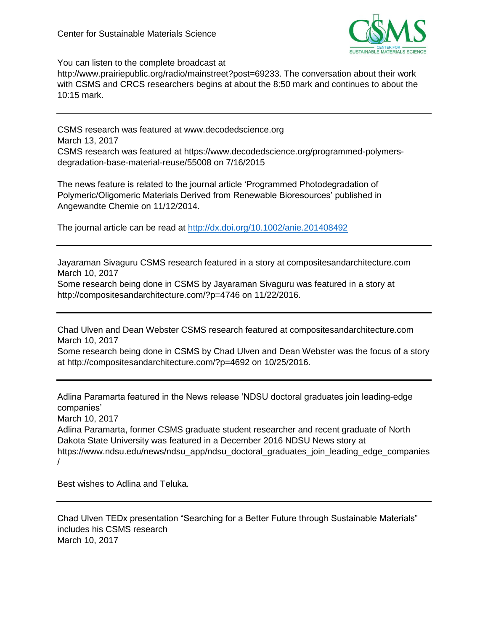

You can listen to the complete broadcast at

http://www.prairiepublic.org/radio/mainstreet?post=69233. The conversation about their work with CSMS and CRCS researchers begins at about the 8:50 mark and continues to about the 10:15 mark.

CSMS research was featured at www.decodedscience.org March 13, 2017 CSMS research was featured at https://www.decodedscience.org/programmed-polymersdegradation-base-material-reuse/55008 on 7/16/2015

The news feature is related to the journal article 'Programmed Photodegradation of Polymeric/Oligomeric Materials Derived from Renewable Bioresources' published in Angewandte Chemie on 11/12/2014.

The journal article can be read at<http://dx.doi.org/10.1002/anie.201408492>

Jayaraman Sivaguru CSMS research featured in a story at compositesandarchitecture.com March 10, 2017

Some research being done in CSMS by Jayaraman Sivaguru was featured in a story at http://compositesandarchitecture.com/?p=4746 on 11/22/2016.

Chad Ulven and Dean Webster CSMS research featured at compositesandarchitecture.com March 10, 2017

Some research being done in CSMS by Chad Ulven and Dean Webster was the focus of a story at http://compositesandarchitecture.com/?p=4692 on 10/25/2016.

Adlina Paramarta featured in the News release 'NDSU doctoral graduates join leading-edge companies'

March 10, 2017

Adlina Paramarta, former CSMS graduate student researcher and recent graduate of North Dakota State University was featured in a December 2016 NDSU News story at https://www.ndsu.edu/news/ndsu\_app/ndsu\_doctoral\_graduates\_join\_leading\_edge\_companies /

Best wishes to Adlina and Teluka.

Chad Ulven TEDx presentation "Searching for a Better Future through Sustainable Materials" includes his CSMS research March 10, 2017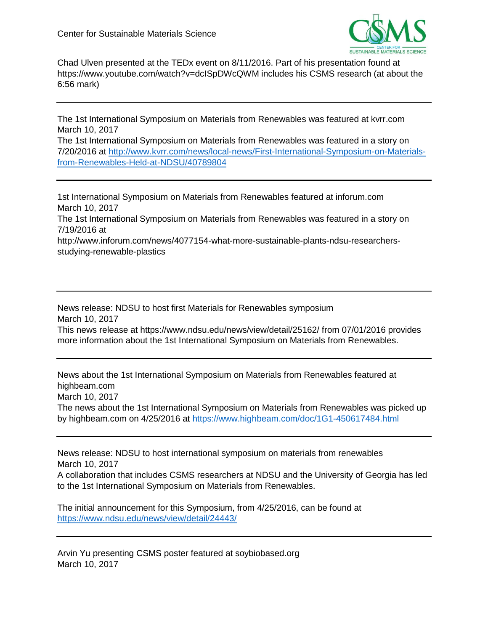

Chad Ulven presented at the TEDx event on 8/11/2016. Part of his presentation found at https://www.youtube.com/watch?v=dcISpDWcQWM includes his CSMS research (at about the 6:56 mark)

The 1st International Symposium on Materials from Renewables was featured at kvrr.com March 10, 2017

The 1st International Symposium on Materials from Renewables was featured in a story on 7/20/2016 at [http://www.kvrr.com/news/local-news/First-International-Symposium-on-Materials](http://www.kvrr.com/news/local-news/First-International-Symposium-on-Materials-from-Renewables-Held-at-NDSU/40789804)[from-Renewables-Held-at-NDSU/40789804](http://www.kvrr.com/news/local-news/First-International-Symposium-on-Materials-from-Renewables-Held-at-NDSU/40789804)

1st International Symposium on Materials from Renewables featured at inforum.com March 10, 2017 The 1st International Symposium on Materials from Renewables was featured in a story on 7/19/2016 at http://www.inforum.com/news/4077154-what-more-sustainable-plants-ndsu-researchersstudying-renewable-plastics

News release: NDSU to host first Materials for Renewables symposium March 10, 2017 This news release at https://www.ndsu.edu/news/view/detail/25162/ from 07/01/2016 provides more information about the 1st International Symposium on Materials from Renewables.

News about the 1st International Symposium on Materials from Renewables featured at highbeam.com March 10, 2017 The news about the 1st International Symposium on Materials from Renewables was picked up by highbeam.com on 4/25/2016 at<https://www.highbeam.com/doc/1G1-450617484.html>

News release: NDSU to host international symposium on materials from renewables March 10, 2017

A collaboration that includes CSMS researchers at NDSU and the University of Georgia has led to the 1st International Symposium on Materials from Renewables.

The initial announcement for this Symposium, from 4/25/2016, can be found at <https://www.ndsu.edu/news/view/detail/24443/>

Arvin Yu presenting CSMS poster featured at soybiobased.org March 10, 2017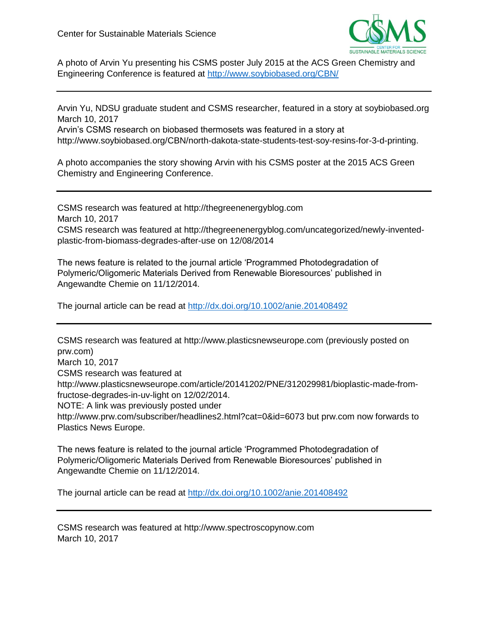

A photo of Arvin Yu presenting his CSMS poster July 2015 at the ACS Green Chemistry and Engineering Conference is featured at<http://www.soybiobased.org/CBN/>

Arvin Yu, NDSU graduate student and CSMS researcher, featured in a story at soybiobased.org March 10, 2017

Arvin's CSMS research on biobased thermosets was featured in a story at http://www.soybiobased.org/CBN/north-dakota-state-students-test-soy-resins-for-3-d-printing.

A photo accompanies the story showing Arvin with his CSMS poster at the 2015 ACS Green Chemistry and Engineering Conference.

CSMS research was featured at http://thegreenenergyblog.com March 10, 2017 CSMS research was featured at http://thegreenenergyblog.com/uncategorized/newly-inventedplastic-from-biomass-degrades-after-use on 12/08/2014

The news feature is related to the journal article 'Programmed Photodegradation of Polymeric/Oligomeric Materials Derived from Renewable Bioresources' published in Angewandte Chemie on 11/12/2014.

The journal article can be read at<http://dx.doi.org/10.1002/anie.201408492>

CSMS research was featured at http://www.plasticsnewseurope.com (previously posted on prw.com) March 10, 2017 CSMS research was featured at http://www.plasticsnewseurope.com/article/20141202/PNE/312029981/bioplastic-made-fromfructose-degrades-in-uv-light on 12/02/2014. NOTE: A link was previously posted under

http://www.prw.com/subscriber/headlines2.html?cat=0&id=6073 but prw.com now forwards to Plastics News Europe.

The news feature is related to the journal article 'Programmed Photodegradation of Polymeric/Oligomeric Materials Derived from Renewable Bioresources' published in Angewandte Chemie on 11/12/2014.

The journal article can be read at<http://dx.doi.org/10.1002/anie.201408492>

CSMS research was featured at http://www.spectroscopynow.com March 10, 2017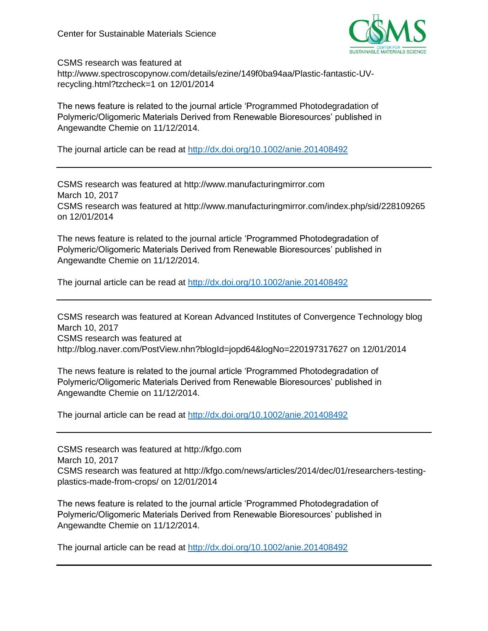

CSMS research was featured at

http://www.spectroscopynow.com/details/ezine/149f0ba94aa/Plastic-fantastic-UVrecycling.html?tzcheck=1 on 12/01/2014

The news feature is related to the journal article 'Programmed Photodegradation of Polymeric/Oligomeric Materials Derived from Renewable Bioresources' published in Angewandte Chemie on 11/12/2014.

The journal article can be read at<http://dx.doi.org/10.1002/anie.201408492>

CSMS research was featured at http://www.manufacturingmirror.com March 10, 2017 CSMS research was featured at http://www.manufacturingmirror.com/index.php/sid/228109265 on 12/01/2014

The news feature is related to the journal article 'Programmed Photodegradation of Polymeric/Oligomeric Materials Derived from Renewable Bioresources' published in Angewandte Chemie on 11/12/2014.

The journal article can be read at<http://dx.doi.org/10.1002/anie.201408492>

CSMS research was featured at Korean Advanced Institutes of Convergence Technology blog March 10, 2017 CSMS research was featured at http://blog.naver.com/PostView.nhn?blogId=jopd64&logNo=220197317627 on 12/01/2014

The news feature is related to the journal article 'Programmed Photodegradation of Polymeric/Oligomeric Materials Derived from Renewable Bioresources' published in Angewandte Chemie on 11/12/2014.

The journal article can be read at<http://dx.doi.org/10.1002/anie.201408492>

CSMS research was featured at http://kfgo.com March 10, 2017 CSMS research was featured at http://kfgo.com/news/articles/2014/dec/01/researchers-testingplastics-made-from-crops/ on 12/01/2014

The news feature is related to the journal article 'Programmed Photodegradation of Polymeric/Oligomeric Materials Derived from Renewable Bioresources' published in Angewandte Chemie on 11/12/2014.

The journal article can be read at<http://dx.doi.org/10.1002/anie.201408492>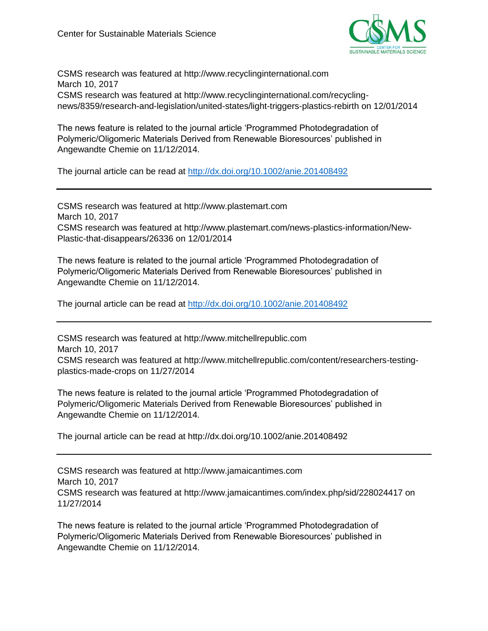

CSMS research was featured at http://www.recyclinginternational.com March 10, 2017 CSMS research was featured at http://www.recyclinginternational.com/recyclingnews/8359/research-and-legislation/united-states/light-triggers-plastics-rebirth on 12/01/2014

The news feature is related to the journal article 'Programmed Photodegradation of Polymeric/Oligomeric Materials Derived from Renewable Bioresources' published in Angewandte Chemie on 11/12/2014.

The journal article can be read at<http://dx.doi.org/10.1002/anie.201408492>

CSMS research was featured at http://www.plastemart.com March 10, 2017 CSMS research was featured at http://www.plastemart.com/news-plastics-information/New-Plastic-that-disappears/26336 on 12/01/2014

The news feature is related to the journal article 'Programmed Photodegradation of Polymeric/Oligomeric Materials Derived from Renewable Bioresources' published in Angewandte Chemie on 11/12/2014.

The journal article can be read at<http://dx.doi.org/10.1002/anie.201408492>

CSMS research was featured at http://www.mitchellrepublic.com March 10, 2017 CSMS research was featured at http://www.mitchellrepublic.com/content/researchers-testingplastics-made-crops on 11/27/2014

The news feature is related to the journal article 'Programmed Photodegradation of Polymeric/Oligomeric Materials Derived from Renewable Bioresources' published in Angewandte Chemie on 11/12/2014.

The journal article can be read at http://dx.doi.org/10.1002/anie.201408492

CSMS research was featured at http://www.jamaicantimes.com March 10, 2017 CSMS research was featured at http://www.jamaicantimes.com/index.php/sid/228024417 on 11/27/2014

The news feature is related to the journal article 'Programmed Photodegradation of Polymeric/Oligomeric Materials Derived from Renewable Bioresources' published in Angewandte Chemie on 11/12/2014.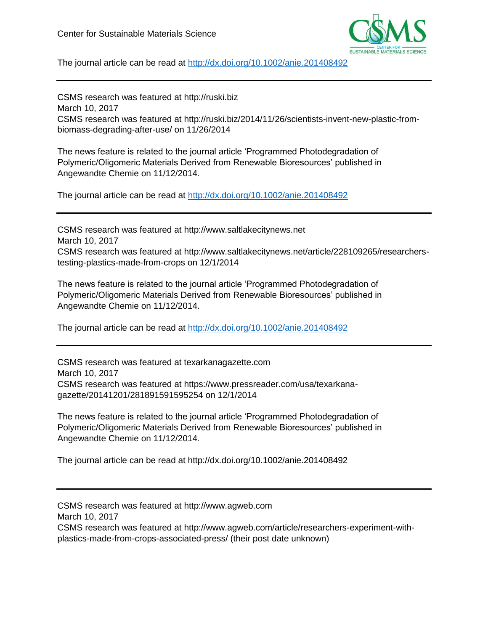

The journal article can be read at<http://dx.doi.org/10.1002/anie.201408492>

CSMS research was featured at http://ruski.biz March 10, 2017 CSMS research was featured at http://ruski.biz/2014/11/26/scientists-invent-new-plastic-frombiomass-degrading-after-use/ on 11/26/2014

The news feature is related to the journal article 'Programmed Photodegradation of Polymeric/Oligomeric Materials Derived from Renewable Bioresources' published in Angewandte Chemie on 11/12/2014.

The journal article can be read at<http://dx.doi.org/10.1002/anie.201408492>

CSMS research was featured at http://www.saltlakecitynews.net March 10, 2017 CSMS research was featured at http://www.saltlakecitynews.net/article/228109265/researcherstesting-plastics-made-from-crops on 12/1/2014

The news feature is related to the journal article 'Programmed Photodegradation of Polymeric/Oligomeric Materials Derived from Renewable Bioresources' published in Angewandte Chemie on 11/12/2014.

The journal article can be read at<http://dx.doi.org/10.1002/anie.201408492>

CSMS research was featured at texarkanagazette.com March 10, 2017 CSMS research was featured at https://www.pressreader.com/usa/texarkanagazette/20141201/281891591595254 on 12/1/2014

The news feature is related to the journal article 'Programmed Photodegradation of Polymeric/Oligomeric Materials Derived from Renewable Bioresources' published in Angewandte Chemie on 11/12/2014.

The journal article can be read at http://dx.doi.org/10.1002/anie.201408492

CSMS research was featured at http://www.agweb.com March 10, 2017 CSMS research was featured at http://www.agweb.com/article/researchers-experiment-withplastics-made-from-crops-associated-press/ (their post date unknown)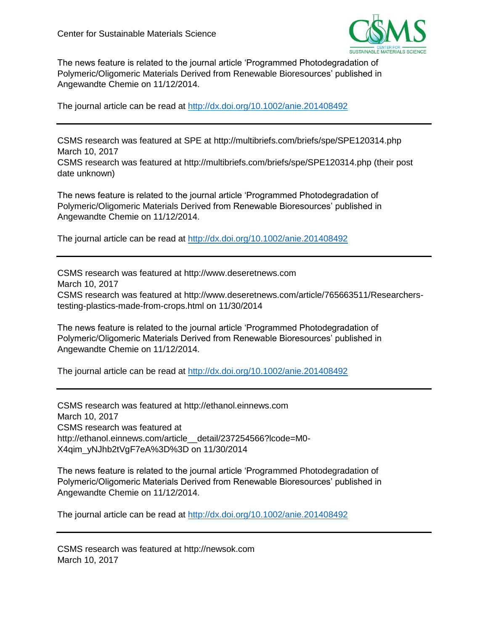date unknown)



The news feature is related to the journal article 'Programmed Photodegradation of Polymeric/Oligomeric Materials Derived from Renewable Bioresources' published in Angewandte Chemie on 11/12/2014.

The journal article can be read at<http://dx.doi.org/10.1002/anie.201408492>

CSMS research was featured at SPE at http://multibriefs.com/briefs/spe/SPE120314.php March 10, 2017 CSMS research was featured at http://multibriefs.com/briefs/spe/SPE120314.php (their post

The news feature is related to the journal article 'Programmed Photodegradation of Polymeric/Oligomeric Materials Derived from Renewable Bioresources' published in Angewandte Chemie on 11/12/2014.

The journal article can be read at<http://dx.doi.org/10.1002/anie.201408492>

CSMS research was featured at http://www.deseretnews.com March 10, 2017 CSMS research was featured at http://www.deseretnews.com/article/765663511/Researcherstesting-plastics-made-from-crops.html on 11/30/2014

The news feature is related to the journal article 'Programmed Photodegradation of Polymeric/Oligomeric Materials Derived from Renewable Bioresources' published in Angewandte Chemie on 11/12/2014.

The journal article can be read at<http://dx.doi.org/10.1002/anie.201408492>

CSMS research was featured at http://ethanol.einnews.com March 10, 2017 CSMS research was featured at http://ethanol.einnews.com/article detail/237254566?lcode=M0-X4qim\_yNJhb2tVgF7eA%3D%3D on 11/30/2014

The news feature is related to the journal article 'Programmed Photodegradation of Polymeric/Oligomeric Materials Derived from Renewable Bioresources' published in Angewandte Chemie on 11/12/2014.

The journal article can be read at<http://dx.doi.org/10.1002/anie.201408492>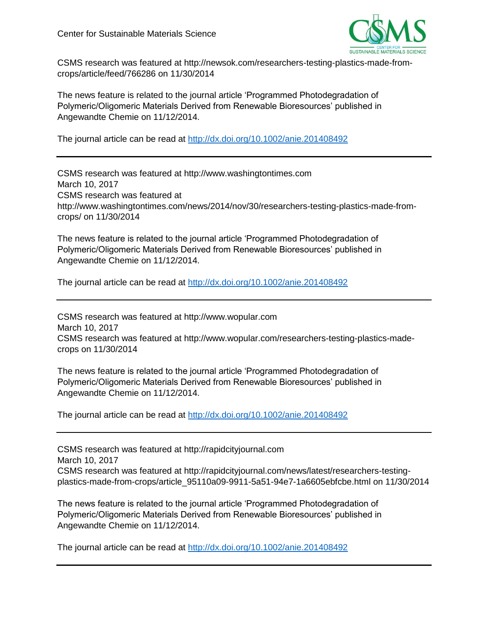

CSMS research was featured at http://newsok.com/researchers-testing-plastics-made-fromcrops/article/feed/766286 on 11/30/2014

The news feature is related to the journal article 'Programmed Photodegradation of Polymeric/Oligomeric Materials Derived from Renewable Bioresources' published in Angewandte Chemie on 11/12/2014.

The journal article can be read at<http://dx.doi.org/10.1002/anie.201408492>

CSMS research was featured at http://www.washingtontimes.com March 10, 2017 CSMS research was featured at http://www.washingtontimes.com/news/2014/nov/30/researchers-testing-plastics-made-fromcrops/ on 11/30/2014

The news feature is related to the journal article 'Programmed Photodegradation of Polymeric/Oligomeric Materials Derived from Renewable Bioresources' published in Angewandte Chemie on 11/12/2014.

The journal article can be read at<http://dx.doi.org/10.1002/anie.201408492>

CSMS research was featured at http://www.wopular.com March 10, 2017 CSMS research was featured at http://www.wopular.com/researchers-testing-plastics-madecrops on 11/30/2014

The news feature is related to the journal article 'Programmed Photodegradation of Polymeric/Oligomeric Materials Derived from Renewable Bioresources' published in Angewandte Chemie on 11/12/2014.

The journal article can be read at<http://dx.doi.org/10.1002/anie.201408492>

CSMS research was featured at http://rapidcityjournal.com March 10, 2017 CSMS research was featured at http://rapidcityjournal.com/news/latest/researchers-testingplastics-made-from-crops/article\_95110a09-9911-5a51-94e7-1a6605ebfcbe.html on 11/30/2014

The news feature is related to the journal article 'Programmed Photodegradation of Polymeric/Oligomeric Materials Derived from Renewable Bioresources' published in Angewandte Chemie on 11/12/2014.

The journal article can be read at<http://dx.doi.org/10.1002/anie.201408492>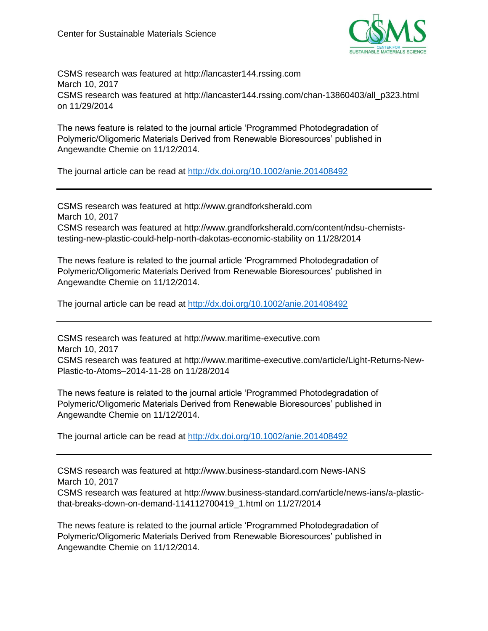

CSMS research was featured at http://lancaster144.rssing.com March 10, 2017 CSMS research was featured at http://lancaster144.rssing.com/chan-13860403/all\_p323.html on 11/29/2014

The news feature is related to the journal article 'Programmed Photodegradation of Polymeric/Oligomeric Materials Derived from Renewable Bioresources' published in Angewandte Chemie on 11/12/2014.

The journal article can be read at<http://dx.doi.org/10.1002/anie.201408492>

CSMS research was featured at http://www.grandforksherald.com March 10, 2017 CSMS research was featured at http://www.grandforksherald.com/content/ndsu-chemiststesting-new-plastic-could-help-north-dakotas-economic-stability on 11/28/2014

The news feature is related to the journal article 'Programmed Photodegradation of Polymeric/Oligomeric Materials Derived from Renewable Bioresources' published in Angewandte Chemie on 11/12/2014.

The journal article can be read at<http://dx.doi.org/10.1002/anie.201408492>

CSMS research was featured at http://www.maritime-executive.com March 10, 2017 CSMS research was featured at http://www.maritime-executive.com/article/Light-Returns-New-Plastic-to-Atoms–2014-11-28 on 11/28/2014

The news feature is related to the journal article 'Programmed Photodegradation of Polymeric/Oligomeric Materials Derived from Renewable Bioresources' published in Angewandte Chemie on 11/12/2014.

The journal article can be read at<http://dx.doi.org/10.1002/anie.201408492>

CSMS research was featured at http://www.business-standard.com News-IANS March 10, 2017 CSMS research was featured at http://www.business-standard.com/article/news-ians/a-plasticthat-breaks-down-on-demand-114112700419\_1.html on 11/27/2014

The news feature is related to the journal article 'Programmed Photodegradation of Polymeric/Oligomeric Materials Derived from Renewable Bioresources' published in Angewandte Chemie on 11/12/2014.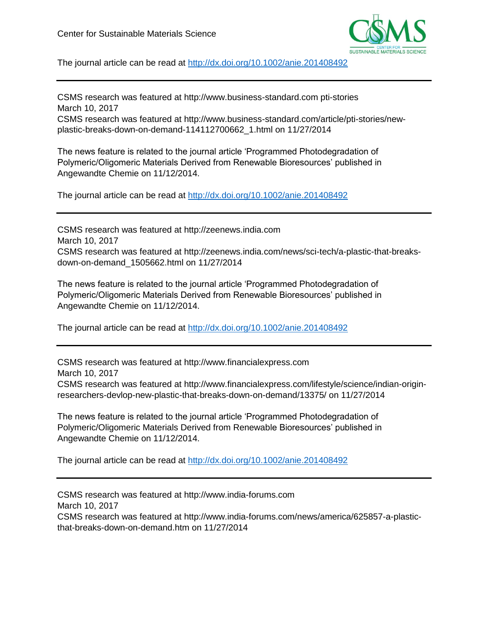

The journal article can be read at<http://dx.doi.org/10.1002/anie.201408492>

CSMS research was featured at http://www.business-standard.com pti-stories March 10, 2017

CSMS research was featured at http://www.business-standard.com/article/pti-stories/newplastic-breaks-down-on-demand-114112700662\_1.html on 11/27/2014

The news feature is related to the journal article 'Programmed Photodegradation of Polymeric/Oligomeric Materials Derived from Renewable Bioresources' published in Angewandte Chemie on 11/12/2014.

The journal article can be read at<http://dx.doi.org/10.1002/anie.201408492>

CSMS research was featured at http://zeenews.india.com March 10, 2017 CSMS research was featured at http://zeenews.india.com/news/sci-tech/a-plastic-that-breaksdown-on-demand\_1505662.html on 11/27/2014

The news feature is related to the journal article 'Programmed Photodegradation of Polymeric/Oligomeric Materials Derived from Renewable Bioresources' published in Angewandte Chemie on 11/12/2014.

The journal article can be read at<http://dx.doi.org/10.1002/anie.201408492>

CSMS research was featured at http://www.financialexpress.com March 10, 2017 CSMS research was featured at http://www.financialexpress.com/lifestyle/science/indian-originresearchers-devlop-new-plastic-that-breaks-down-on-demand/13375/ on 11/27/2014

The news feature is related to the journal article 'Programmed Photodegradation of Polymeric/Oligomeric Materials Derived from Renewable Bioresources' published in Angewandte Chemie on 11/12/2014.

The journal article can be read at<http://dx.doi.org/10.1002/anie.201408492>

CSMS research was featured at http://www.india-forums.com March 10, 2017 CSMS research was featured at http://www.india-forums.com/news/america/625857-a-plasticthat-breaks-down-on-demand.htm on 11/27/2014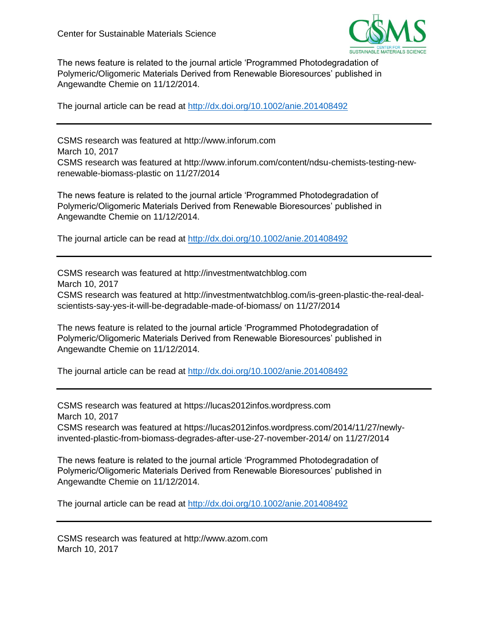

The news feature is related to the journal article 'Programmed Photodegradation of Polymeric/Oligomeric Materials Derived from Renewable Bioresources' published in Angewandte Chemie on 11/12/2014.

The journal article can be read at<http://dx.doi.org/10.1002/anie.201408492>

CSMS research was featured at http://www.inforum.com March 10, 2017 CSMS research was featured at http://www.inforum.com/content/ndsu-chemists-testing-newrenewable-biomass-plastic on 11/27/2014

The news feature is related to the journal article 'Programmed Photodegradation of Polymeric/Oligomeric Materials Derived from Renewable Bioresources' published in Angewandte Chemie on 11/12/2014.

The journal article can be read at<http://dx.doi.org/10.1002/anie.201408492>

CSMS research was featured at http://investmentwatchblog.com March 10, 2017 CSMS research was featured at http://investmentwatchblog.com/is-green-plastic-the-real-dealscientists-say-yes-it-will-be-degradable-made-of-biomass/ on 11/27/2014

The news feature is related to the journal article 'Programmed Photodegradation of Polymeric/Oligomeric Materials Derived from Renewable Bioresources' published in Angewandte Chemie on 11/12/2014.

The journal article can be read at<http://dx.doi.org/10.1002/anie.201408492>

CSMS research was featured at https://lucas2012infos.wordpress.com March 10, 2017 CSMS research was featured at https://lucas2012infos.wordpress.com/2014/11/27/newlyinvented-plastic-from-biomass-degrades-after-use-27-november-2014/ on 11/27/2014

The news feature is related to the journal article 'Programmed Photodegradation of Polymeric/Oligomeric Materials Derived from Renewable Bioresources' published in Angewandte Chemie on 11/12/2014.

The journal article can be read at<http://dx.doi.org/10.1002/anie.201408492>

CSMS research was featured at http://www.azom.com March 10, 2017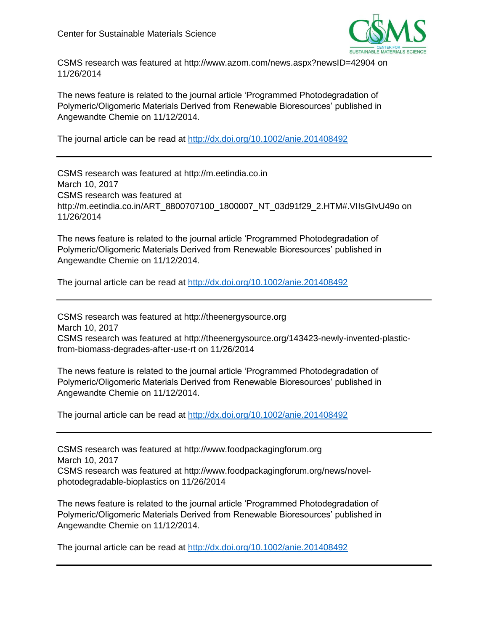

CSMS research was featured at http://www.azom.com/news.aspx?newsID=42904 on 11/26/2014

The news feature is related to the journal article 'Programmed Photodegradation of Polymeric/Oligomeric Materials Derived from Renewable Bioresources' published in Angewandte Chemie on 11/12/2014.

The journal article can be read at<http://dx.doi.org/10.1002/anie.201408492>

CSMS research was featured at http://m.eetindia.co.in March 10, 2017 CSMS research was featured at http://m.eetindia.co.in/ART\_8800707100\_1800007\_NT\_03d91f29\_2.HTM#.VIIsGIvU49o on 11/26/2014

The news feature is related to the journal article 'Programmed Photodegradation of Polymeric/Oligomeric Materials Derived from Renewable Bioresources' published in Angewandte Chemie on 11/12/2014.

The journal article can be read at<http://dx.doi.org/10.1002/anie.201408492>

CSMS research was featured at http://theenergysource.org March 10, 2017 CSMS research was featured at http://theenergysource.org/143423-newly-invented-plasticfrom-biomass-degrades-after-use-rt on 11/26/2014

The news feature is related to the journal article 'Programmed Photodegradation of Polymeric/Oligomeric Materials Derived from Renewable Bioresources' published in Angewandte Chemie on 11/12/2014.

The journal article can be read at<http://dx.doi.org/10.1002/anie.201408492>

CSMS research was featured at http://www.foodpackagingforum.org March 10, 2017 CSMS research was featured at http://www.foodpackagingforum.org/news/novelphotodegradable-bioplastics on 11/26/2014

The news feature is related to the journal article 'Programmed Photodegradation of Polymeric/Oligomeric Materials Derived from Renewable Bioresources' published in Angewandte Chemie on 11/12/2014.

The journal article can be read at<http://dx.doi.org/10.1002/anie.201408492>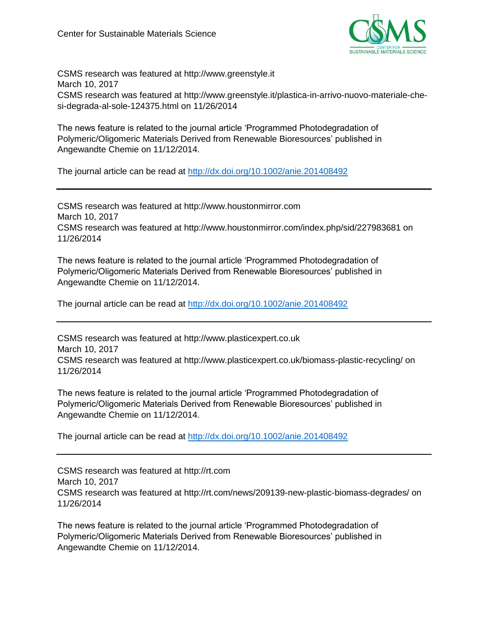

CSMS research was featured at http://www.greenstyle.it March 10, 2017 CSMS research was featured at http://www.greenstyle.it/plastica-in-arrivo-nuovo-materiale-chesi-degrada-al-sole-124375.html on 11/26/2014

The news feature is related to the journal article 'Programmed Photodegradation of Polymeric/Oligomeric Materials Derived from Renewable Bioresources' published in Angewandte Chemie on 11/12/2014.

The journal article can be read at<http://dx.doi.org/10.1002/anie.201408492>

CSMS research was featured at http://www.houstonmirror.com March 10, 2017 CSMS research was featured at http://www.houstonmirror.com/index.php/sid/227983681 on 11/26/2014

The news feature is related to the journal article 'Programmed Photodegradation of Polymeric/Oligomeric Materials Derived from Renewable Bioresources' published in Angewandte Chemie on 11/12/2014.

The journal article can be read at<http://dx.doi.org/10.1002/anie.201408492>

CSMS research was featured at http://www.plasticexpert.co.uk March 10, 2017 CSMS research was featured at http://www.plasticexpert.co.uk/biomass-plastic-recycling/ on 11/26/2014

The news feature is related to the journal article 'Programmed Photodegradation of Polymeric/Oligomeric Materials Derived from Renewable Bioresources' published in Angewandte Chemie on 11/12/2014.

The journal article can be read at<http://dx.doi.org/10.1002/anie.201408492>

CSMS research was featured at http://rt.com March 10, 2017 CSMS research was featured at http://rt.com/news/209139-new-plastic-biomass-degrades/ on 11/26/2014

The news feature is related to the journal article 'Programmed Photodegradation of Polymeric/Oligomeric Materials Derived from Renewable Bioresources' published in Angewandte Chemie on 11/12/2014.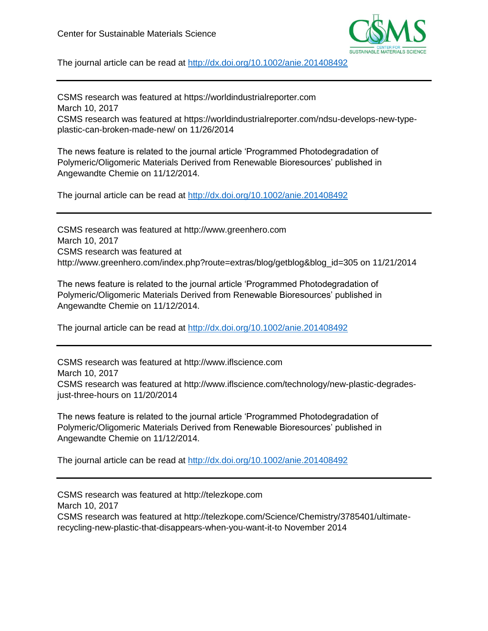

The journal article can be read at<http://dx.doi.org/10.1002/anie.201408492>

CSMS research was featured at https://worldindustrialreporter.com March 10, 2017 CSMS research was featured at https://worldindustrialreporter.com/ndsu-develops-new-typeplastic-can-broken-made-new/ on 11/26/2014

The news feature is related to the journal article 'Programmed Photodegradation of Polymeric/Oligomeric Materials Derived from Renewable Bioresources' published in Angewandte Chemie on 11/12/2014.

The journal article can be read at<http://dx.doi.org/10.1002/anie.201408492>

CSMS research was featured at http://www.greenhero.com March 10, 2017 CSMS research was featured at http://www.greenhero.com/index.php?route=extras/blog/getblog&blog\_id=305 on 11/21/2014

The news feature is related to the journal article 'Programmed Photodegradation of Polymeric/Oligomeric Materials Derived from Renewable Bioresources' published in Angewandte Chemie on 11/12/2014.

The journal article can be read at<http://dx.doi.org/10.1002/anie.201408492>

CSMS research was featured at http://www.iflscience.com March 10, 2017 CSMS research was featured at http://www.iflscience.com/technology/new-plastic-degradesjust-three-hours on 11/20/2014

The news feature is related to the journal article 'Programmed Photodegradation of Polymeric/Oligomeric Materials Derived from Renewable Bioresources' published in Angewandte Chemie on 11/12/2014.

The journal article can be read at<http://dx.doi.org/10.1002/anie.201408492>

CSMS research was featured at http://telezkope.com March 10, 2017 CSMS research was featured at http://telezkope.com/Science/Chemistry/3785401/ultimaterecycling-new-plastic-that-disappears-when-you-want-it-to November 2014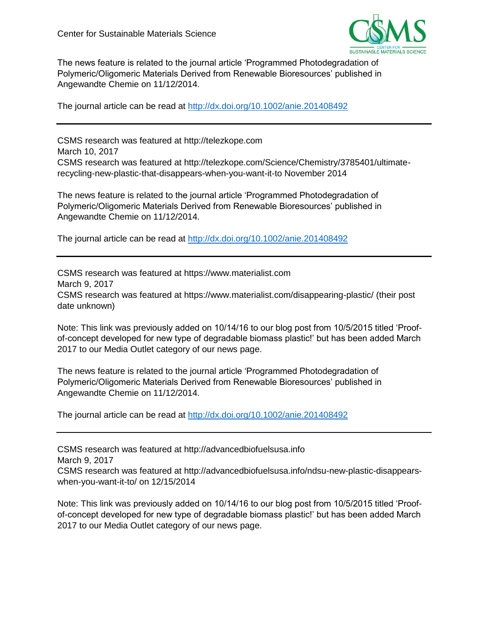

The news feature is related to the journal article 'Programmed Photodegradation of Polymeric/Oligomeric Materials Derived from Renewable Bioresources' published in Angewandte Chemie on 11/12/2014.

The journal article can be read at<http://dx.doi.org/10.1002/anie.201408492>

CSMS research was featured at http://telezkope.com March 10, 2017 CSMS research was featured at http://telezkope.com/Science/Chemistry/3785401/ultimaterecycling-new-plastic-that-disappears-when-you-want-it-to November 2014

The news feature is related to the journal article 'Programmed Photodegradation of Polymeric/Oligomeric Materials Derived from Renewable Bioresources' published in Angewandte Chemie on 11/12/2014.

The journal article can be read at<http://dx.doi.org/10.1002/anie.201408492>

CSMS research was featured at https://www.materialist.com March 9, 2017 CSMS research was featured at https://www.materialist.com/disappearing-plastic/ (their post date unknown)

Note: This link was previously added on 10/14/16 to our blog post from 10/5/2015 titled 'Proofof-concept developed for new type of degradable biomass plastic!' but has been added March 2017 to our Media Outlet category of our news page.

The news feature is related to the journal article 'Programmed Photodegradation of Polymeric/Oligomeric Materials Derived from Renewable Bioresources' published in Angewandte Chemie on 11/12/2014.

The journal article can be read at<http://dx.doi.org/10.1002/anie.201408492>

CSMS research was featured at http://advancedbiofuelsusa.info March 9, 2017 CSMS research was featured at http://advancedbiofuelsusa.info/ndsu-new-plastic-disappears-

when-you-want-it-to/ on 12/15/2014

Note: This link was previously added on 10/14/16 to our blog post from 10/5/2015 titled 'Proofof-concept developed for new type of degradable biomass plastic!' but has been added March 2017 to our Media Outlet category of our news page.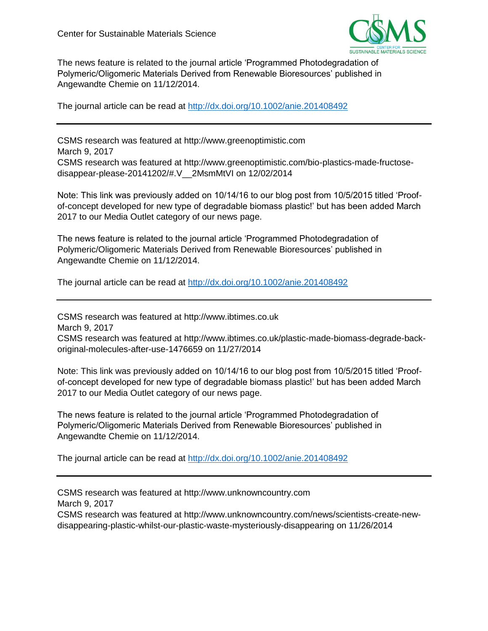

The news feature is related to the journal article 'Programmed Photodegradation of Polymeric/Oligomeric Materials Derived from Renewable Bioresources' published in Angewandte Chemie on 11/12/2014.

The journal article can be read at<http://dx.doi.org/10.1002/anie.201408492>

CSMS research was featured at http://www.greenoptimistic.com March 9, 2017 CSMS research was featured at http://www.greenoptimistic.com/bio-plastics-made-fructosedisappear-please-20141202/#.V\_\_2MsmMtVI on 12/02/2014

Note: This link was previously added on 10/14/16 to our blog post from 10/5/2015 titled 'Proofof-concept developed for new type of degradable biomass plastic!' but has been added March 2017 to our Media Outlet category of our news page.

The news feature is related to the journal article 'Programmed Photodegradation of Polymeric/Oligomeric Materials Derived from Renewable Bioresources' published in Angewandte Chemie on 11/12/2014.

The journal article can be read at<http://dx.doi.org/10.1002/anie.201408492>

CSMS research was featured at http://www.ibtimes.co.uk March 9, 2017 CSMS research was featured at http://www.ibtimes.co.uk/plastic-made-biomass-degrade-backoriginal-molecules-after-use-1476659 on 11/27/2014

Note: This link was previously added on 10/14/16 to our blog post from 10/5/2015 titled 'Proofof-concept developed for new type of degradable biomass plastic!' but has been added March 2017 to our Media Outlet category of our news page.

The news feature is related to the journal article 'Programmed Photodegradation of Polymeric/Oligomeric Materials Derived from Renewable Bioresources' published in Angewandte Chemie on 11/12/2014.

The journal article can be read at<http://dx.doi.org/10.1002/anie.201408492>

CSMS research was featured at http://www.unknowncountry.com March 9, 2017 CSMS research was featured at http://www.unknowncountry.com/news/scientists-create-newdisappearing-plastic-whilst-our-plastic-waste-mysteriously-disappearing on 11/26/2014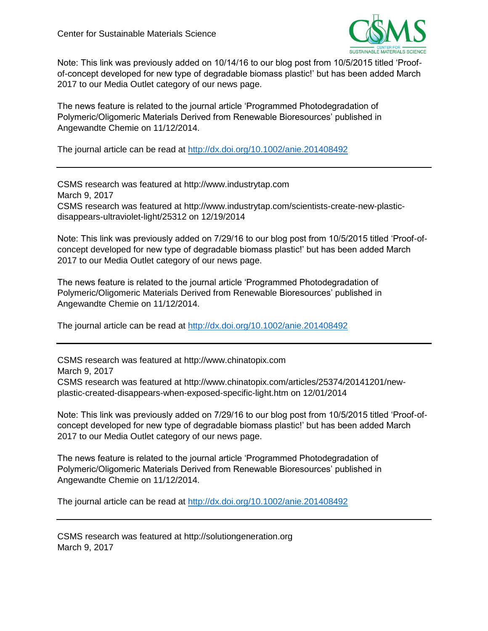

Note: This link was previously added on 10/14/16 to our blog post from 10/5/2015 titled 'Proofof-concept developed for new type of degradable biomass plastic!' but has been added March 2017 to our Media Outlet category of our news page.

The news feature is related to the journal article 'Programmed Photodegradation of Polymeric/Oligomeric Materials Derived from Renewable Bioresources' published in Angewandte Chemie on 11/12/2014.

The journal article can be read at<http://dx.doi.org/10.1002/anie.201408492>

CSMS research was featured at http://www.industrytap.com March 9, 2017 CSMS research was featured at http://www.industrytap.com/scientists-create-new-plasticdisappears-ultraviolet-light/25312 on 12/19/2014

Note: This link was previously added on 7/29/16 to our blog post from 10/5/2015 titled 'Proof-ofconcept developed for new type of degradable biomass plastic!' but has been added March 2017 to our Media Outlet category of our news page.

The news feature is related to the journal article 'Programmed Photodegradation of Polymeric/Oligomeric Materials Derived from Renewable Bioresources' published in Angewandte Chemie on 11/12/2014.

The journal article can be read at<http://dx.doi.org/10.1002/anie.201408492>

CSMS research was featured at http://www.chinatopix.com March 9, 2017 CSMS research was featured at http://www.chinatopix.com/articles/25374/20141201/newplastic-created-disappears-when-exposed-specific-light.htm on 12/01/2014

Note: This link was previously added on 7/29/16 to our blog post from 10/5/2015 titled 'Proof-ofconcept developed for new type of degradable biomass plastic!' but has been added March 2017 to our Media Outlet category of our news page.

The news feature is related to the journal article 'Programmed Photodegradation of Polymeric/Oligomeric Materials Derived from Renewable Bioresources' published in Angewandte Chemie on 11/12/2014.

The journal article can be read at<http://dx.doi.org/10.1002/anie.201408492>

CSMS research was featured at http://solutiongeneration.org March 9, 2017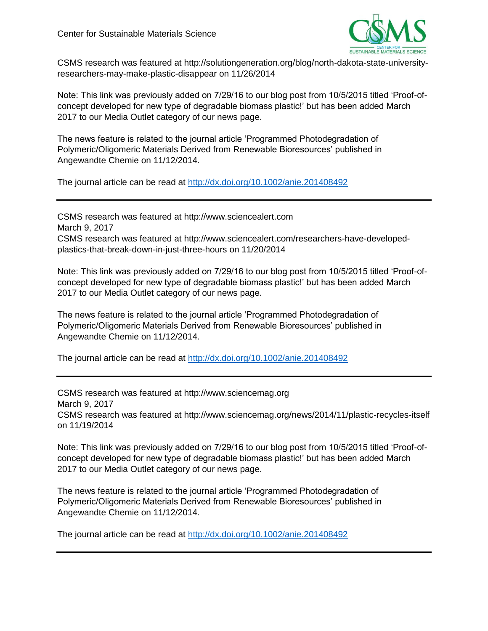

CSMS research was featured at http://solutiongeneration.org/blog/north-dakota-state-universityresearchers-may-make-plastic-disappear on 11/26/2014

Note: This link was previously added on 7/29/16 to our blog post from 10/5/2015 titled 'Proof-ofconcept developed for new type of degradable biomass plastic!' but has been added March 2017 to our Media Outlet category of our news page.

The news feature is related to the journal article 'Programmed Photodegradation of Polymeric/Oligomeric Materials Derived from Renewable Bioresources' published in Angewandte Chemie on 11/12/2014.

The journal article can be read at<http://dx.doi.org/10.1002/anie.201408492>

CSMS research was featured at http://www.sciencealert.com March 9, 2017 CSMS research was featured at http://www.sciencealert.com/researchers-have-developedplastics-that-break-down-in-just-three-hours on 11/20/2014

Note: This link was previously added on 7/29/16 to our blog post from 10/5/2015 titled 'Proof-ofconcept developed for new type of degradable biomass plastic!' but has been added March 2017 to our Media Outlet category of our news page.

The news feature is related to the journal article 'Programmed Photodegradation of Polymeric/Oligomeric Materials Derived from Renewable Bioresources' published in Angewandte Chemie on 11/12/2014.

The journal article can be read at<http://dx.doi.org/10.1002/anie.201408492>

CSMS research was featured at http://www.sciencemag.org March 9, 2017 CSMS research was featured at http://www.sciencemag.org/news/2014/11/plastic-recycles-itself on 11/19/2014

Note: This link was previously added on 7/29/16 to our blog post from 10/5/2015 titled 'Proof-ofconcept developed for new type of degradable biomass plastic!' but has been added March 2017 to our Media Outlet category of our news page.

The news feature is related to the journal article 'Programmed Photodegradation of Polymeric/Oligomeric Materials Derived from Renewable Bioresources' published in Angewandte Chemie on 11/12/2014.

The journal article can be read at<http://dx.doi.org/10.1002/anie.201408492>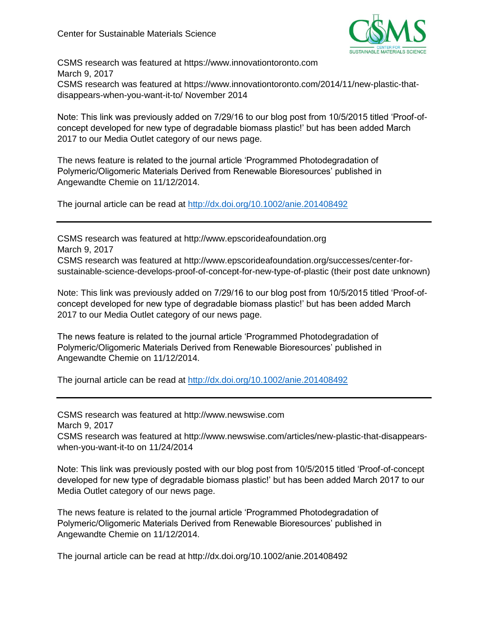

CSMS research was featured at https://www.innovationtoronto.com March 9, 2017 CSMS research was featured at https://www.innovationtoronto.com/2014/11/new-plastic-thatdisappears-when-you-want-it-to/ November 2014

Note: This link was previously added on 7/29/16 to our blog post from 10/5/2015 titled 'Proof-ofconcept developed for new type of degradable biomass plastic!' but has been added March 2017 to our Media Outlet category of our news page.

The news feature is related to the journal article 'Programmed Photodegradation of Polymeric/Oligomeric Materials Derived from Renewable Bioresources' published in Angewandte Chemie on 11/12/2014.

The journal article can be read at<http://dx.doi.org/10.1002/anie.201408492>

CSMS research was featured at http://www.epscorideafoundation.org March 9, 2017

CSMS research was featured at http://www.epscorideafoundation.org/successes/center-forsustainable-science-develops-proof-of-concept-for-new-type-of-plastic (their post date unknown)

Note: This link was previously added on 7/29/16 to our blog post from 10/5/2015 titled 'Proof-ofconcept developed for new type of degradable biomass plastic!' but has been added March 2017 to our Media Outlet category of our news page.

The news feature is related to the journal article 'Programmed Photodegradation of Polymeric/Oligomeric Materials Derived from Renewable Bioresources' published in Angewandte Chemie on 11/12/2014.

The journal article can be read at<http://dx.doi.org/10.1002/anie.201408492>

CSMS research was featured at http://www.newswise.com March 9, 2017

CSMS research was featured at http://www.newswise.com/articles/new-plastic-that-disappearswhen-you-want-it-to on 11/24/2014

Note: This link was previously posted with our blog post from 10/5/2015 titled 'Proof-of-concept developed for new type of degradable biomass plastic!' but has been added March 2017 to our Media Outlet category of our news page.

The news feature is related to the journal article 'Programmed Photodegradation of Polymeric/Oligomeric Materials Derived from Renewable Bioresources' published in Angewandte Chemie on 11/12/2014.

The journal article can be read at http://dx.doi.org/10.1002/anie.201408492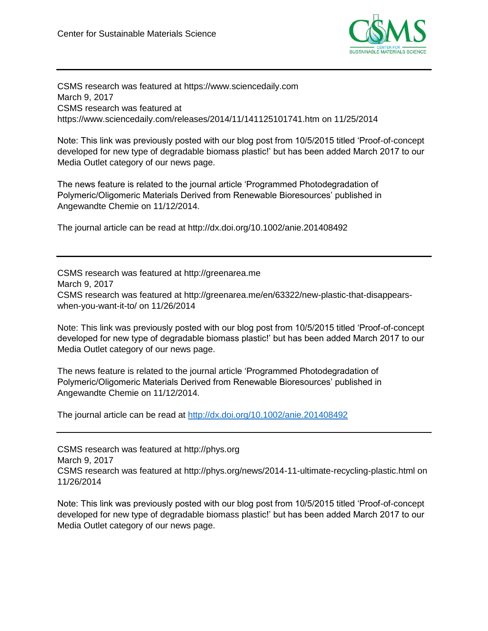

CSMS research was featured at https://www.sciencedaily.com March 9, 2017 CSMS research was featured at https://www.sciencedaily.com/releases/2014/11/141125101741.htm on 11/25/2014

Note: This link was previously posted with our blog post from 10/5/2015 titled 'Proof-of-concept developed for new type of degradable biomass plastic!' but has been added March 2017 to our Media Outlet category of our news page.

The news feature is related to the journal article 'Programmed Photodegradation of Polymeric/Oligomeric Materials Derived from Renewable Bioresources' published in Angewandte Chemie on 11/12/2014.

The journal article can be read at http://dx.doi.org/10.1002/anie.201408492

CSMS research was featured at http://greenarea.me March 9, 2017 CSMS research was featured at http://greenarea.me/en/63322/new-plastic-that-disappearswhen-you-want-it-to/ on 11/26/2014

Note: This link was previously posted with our blog post from 10/5/2015 titled 'Proof-of-concept developed for new type of degradable biomass plastic!' but has been added March 2017 to our Media Outlet category of our news page.

The news feature is related to the journal article 'Programmed Photodegradation of Polymeric/Oligomeric Materials Derived from Renewable Bioresources' published in Angewandte Chemie on 11/12/2014.

The journal article can be read at<http://dx.doi.org/10.1002/anie.201408492>

CSMS research was featured at http://phys.org March 9, 2017 CSMS research was featured at http://phys.org/news/2014-11-ultimate-recycling-plastic.html on 11/26/2014

Note: This link was previously posted with our blog post from 10/5/2015 titled 'Proof-of-concept developed for new type of degradable biomass plastic!' but has been added March 2017 to our Media Outlet category of our news page.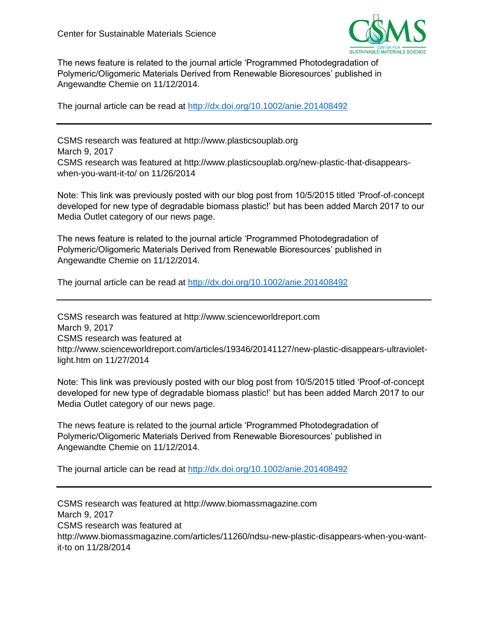

The news feature is related to the journal article 'Programmed Photodegradation of Polymeric/Oligomeric Materials Derived from Renewable Bioresources' published in Angewandte Chemie on 11/12/2014.

The journal article can be read at<http://dx.doi.org/10.1002/anie.201408492>

CSMS research was featured at http://www.plasticsouplab.org March 9, 2017 CSMS research was featured at http://www.plasticsouplab.org/new-plastic-that-disappearswhen-you-want-it-to/ on 11/26/2014

Note: This link was previously posted with our blog post from 10/5/2015 titled 'Proof-of-concept developed for new type of degradable biomass plastic!' but has been added March 2017 to our Media Outlet category of our news page.

The news feature is related to the journal article 'Programmed Photodegradation of Polymeric/Oligomeric Materials Derived from Renewable Bioresources' published in Angewandte Chemie on 11/12/2014.

The journal article can be read at<http://dx.doi.org/10.1002/anie.201408492>

CSMS research was featured at http://www.scienceworldreport.com March 9, 2017 CSMS research was featured at http://www.scienceworldreport.com/articles/19346/20141127/new-plastic-disappears-ultravioletlight.htm on 11/27/2014

Note: This link was previously posted with our blog post from 10/5/2015 titled 'Proof-of-concept developed for new type of degradable biomass plastic!' but has been added March 2017 to our Media Outlet category of our news page.

The news feature is related to the journal article 'Programmed Photodegradation of Polymeric/Oligomeric Materials Derived from Renewable Bioresources' published in Angewandte Chemie on 11/12/2014.

The journal article can be read at<http://dx.doi.org/10.1002/anie.201408492>

CSMS research was featured at http://www.biomassmagazine.com March 9, 2017 CSMS research was featured at http://www.biomassmagazine.com/articles/11260/ndsu-new-plastic-disappears-when-you-wantit-to on 11/28/2014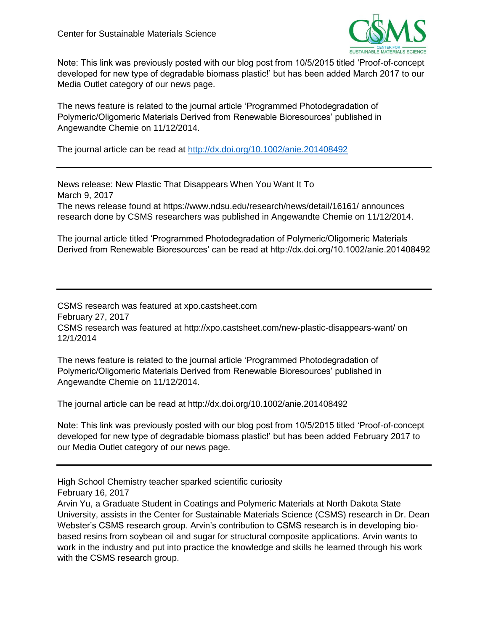

Note: This link was previously posted with our blog post from 10/5/2015 titled 'Proof-of-concept developed for new type of degradable biomass plastic!' but has been added March 2017 to our Media Outlet category of our news page.

The news feature is related to the journal article 'Programmed Photodegradation of Polymeric/Oligomeric Materials Derived from Renewable Bioresources' published in Angewandte Chemie on 11/12/2014.

The journal article can be read at<http://dx.doi.org/10.1002/anie.201408492>

News release: New Plastic That Disappears When You Want It To March 9, 2017 The news release found at https://www.ndsu.edu/research/news/detail/16161/ announces research done by CSMS researchers was published in Angewandte Chemie on 11/12/2014.

The journal article titled 'Programmed Photodegradation of Polymeric/Oligomeric Materials Derived from Renewable Bioresources' can be read at http://dx.doi.org/10.1002/anie.201408492

CSMS research was featured at xpo.castsheet.com February 27, 2017 CSMS research was featured at http://xpo.castsheet.com/new-plastic-disappears-want/ on 12/1/2014

The news feature is related to the journal article 'Programmed Photodegradation of Polymeric/Oligomeric Materials Derived from Renewable Bioresources' published in Angewandte Chemie on 11/12/2014.

The journal article can be read at http://dx.doi.org/10.1002/anie.201408492

Note: This link was previously posted with our blog post from 10/5/2015 titled 'Proof-of-concept developed for new type of degradable biomass plastic!' but has been added February 2017 to our Media Outlet category of our news page.

High School Chemistry teacher sparked scientific curiosity February 16, 2017

Arvin Yu, a Graduate Student in Coatings and Polymeric Materials at North Dakota State University, assists in the Center for Sustainable Materials Science (CSMS) research in Dr. Dean Webster's CSMS research group. Arvin's contribution to CSMS research is in developing biobased resins from soybean oil and sugar for structural composite applications. Arvin wants to work in the industry and put into practice the knowledge and skills he learned through his work with the CSMS research group.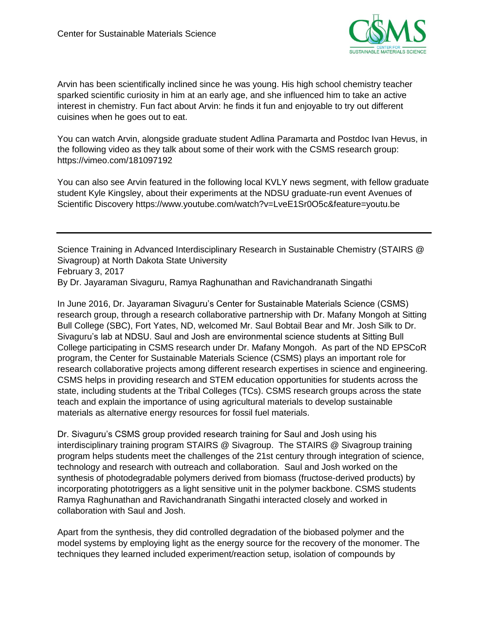

Arvin has been scientifically inclined since he was young. His high school chemistry teacher sparked scientific curiosity in him at an early age, and she influenced him to take an active interest in chemistry. Fun fact about Arvin: he finds it fun and enjoyable to try out different cuisines when he goes out to eat.

You can watch Arvin, alongside graduate student Adlina Paramarta and Postdoc Ivan Hevus, in the following video as they talk about some of their work with the CSMS research group: https://vimeo.com/181097192

You can also see Arvin featured in the following local KVLY news segment, with fellow graduate student Kyle Kingsley, about their experiments at the NDSU graduate-run event Avenues of Scientific Discovery https://www.youtube.com/watch?v=LveE1Sr0O5c&feature=youtu.be

Science Training in Advanced Interdisciplinary Research in Sustainable Chemistry (STAIRS @ Sivagroup) at North Dakota State University February 3, 2017 By Dr. Jayaraman Sivaguru, Ramya Raghunathan and Ravichandranath Singathi

In June 2016, Dr. Jayaraman Sivaguru's Center for Sustainable Materials Science (CSMS) research group, through a research collaborative partnership with Dr. Mafany Mongoh at Sitting Bull College (SBC), Fort Yates, ND, welcomed Mr. Saul Bobtail Bear and Mr. Josh Silk to Dr. Sivaguru's lab at NDSU. Saul and Josh are environmental science students at Sitting Bull College participating in CSMS research under Dr. Mafany Mongoh. As part of the ND EPSCoR program, the Center for Sustainable Materials Science (CSMS) plays an important role for research collaborative projects among different research expertises in science and engineering. CSMS helps in providing research and STEM education opportunities for students across the state, including students at the Tribal Colleges (TCs). CSMS research groups across the state teach and explain the importance of using agricultural materials to develop sustainable materials as alternative energy resources for fossil fuel materials.

Dr. Sivaguru's CSMS group provided research training for Saul and Josh using his interdisciplinary training program STAIRS @ Sivagroup. The STAIRS @ Sivagroup training program helps students meet the challenges of the 21st century through integration of science, technology and research with outreach and collaboration. Saul and Josh worked on the synthesis of photodegradable polymers derived from biomass (fructose-derived products) by incorporating phototriggers as a light sensitive unit in the polymer backbone. CSMS students Ramya Raghunathan and Ravichandranath Singathi interacted closely and worked in collaboration with Saul and Josh.

Apart from the synthesis, they did controlled degradation of the biobased polymer and the model systems by employing light as the energy source for the recovery of the monomer. The techniques they learned included experiment/reaction setup, isolation of compounds by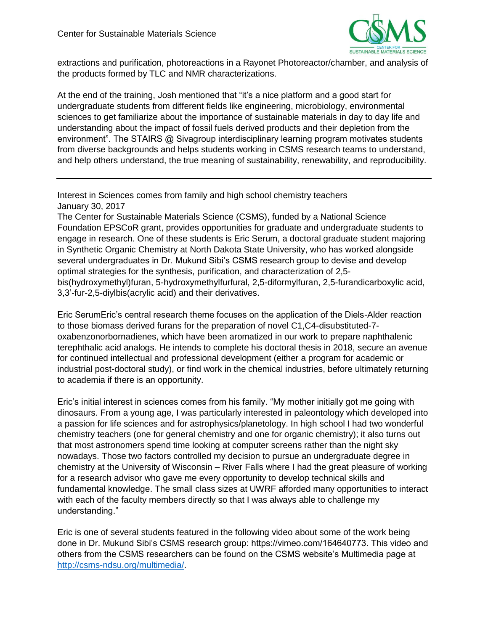

extractions and purification, photoreactions in a Rayonet Photoreactor/chamber, and analysis of the products formed by TLC and NMR characterizations.

At the end of the training, Josh mentioned that "it's a nice platform and a good start for undergraduate students from different fields like engineering, microbiology, environmental sciences to get familiarize about the importance of sustainable materials in day to day life and understanding about the impact of fossil fuels derived products and their depletion from the environment". The STAIRS @ Sivagroup interdisciplinary learning program motivates students from diverse backgrounds and helps students working in CSMS research teams to understand, and help others understand, the true meaning of sustainability, renewability, and reproducibility.

Interest in Sciences comes from family and high school chemistry teachers January 30, 2017

The Center for Sustainable Materials Science (CSMS), funded by a National Science Foundation EPSCoR grant, provides opportunities for graduate and undergraduate students to engage in research. One of these students is Eric Serum, a doctoral graduate student majoring in Synthetic Organic Chemistry at North Dakota State University, who has worked alongside several undergraduates in Dr. Mukund Sibi's CSMS research group to devise and develop optimal strategies for the synthesis, purification, and characterization of 2,5 bis(hydroxymethyl)furan, 5-hydroxymethylfurfural, 2,5-diformylfuran, 2,5-furandicarboxylic acid, 3,3'-fur-2,5-diylbis(acrylic acid) and their derivatives.

Eric SerumEric's central research theme focuses on the application of the Diels-Alder reaction to those biomass derived furans for the preparation of novel C1,C4-disubstituted-7 oxabenzonorbornadienes, which have been aromatized in our work to prepare naphthalenic terephthalic acid analogs. He intends to complete his doctoral thesis in 2018, secure an avenue for continued intellectual and professional development (either a program for academic or industrial post-doctoral study), or find work in the chemical industries, before ultimately returning to academia if there is an opportunity.

Eric's initial interest in sciences comes from his family. "My mother initially got me going with dinosaurs. From a young age, I was particularly interested in paleontology which developed into a passion for life sciences and for astrophysics/planetology. In high school I had two wonderful chemistry teachers (one for general chemistry and one for organic chemistry); it also turns out that most astronomers spend time looking at computer screens rather than the night sky nowadays. Those two factors controlled my decision to pursue an undergraduate degree in chemistry at the University of Wisconsin – River Falls where I had the great pleasure of working for a research advisor who gave me every opportunity to develop technical skills and fundamental knowledge. The small class sizes at UWRF afforded many opportunities to interact with each of the faculty members directly so that I was always able to challenge my understanding."

Eric is one of several students featured in the following video about some of the work being done in Dr. Mukund Sibi's CSMS research group: https://vimeo.com/164640773. This video and others from the CSMS researchers can be found on the CSMS website's Multimedia page at [http://csms-ndsu.org/multimedia/.](http://csms-ndsu.org/multimedia/)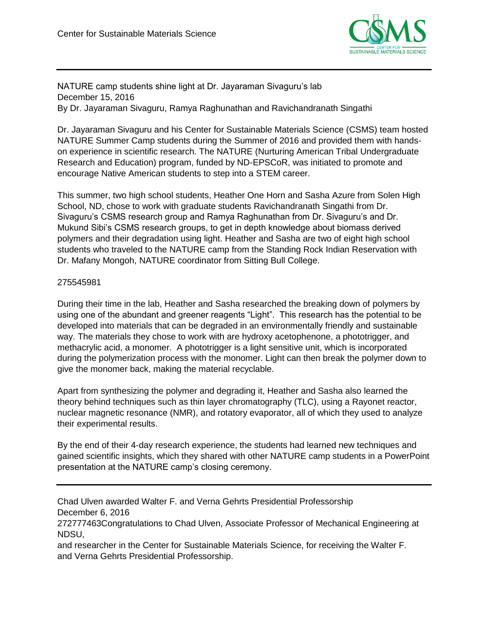

NATURE camp students shine light at Dr. Jayaraman Sivaguru's lab December 15, 2016 By Dr. Jayaraman Sivaguru, Ramya Raghunathan and Ravichandranath Singathi

Dr. Jayaraman Sivaguru and his Center for Sustainable Materials Science (CSMS) team hosted NATURE Summer Camp students during the Summer of 2016 and provided them with handson experience in scientific research. The NATURE (Nurturing American Tribal Undergraduate Research and Education) program, funded by ND-EPSCoR, was initiated to promote and encourage Native American students to step into a STEM career.

This summer, two high school students, Heather One Horn and Sasha Azure from Solen High School, ND, chose to work with graduate students Ravichandranath Singathi from Dr. Sivaguru's CSMS research group and Ramya Raghunathan from Dr. Sivaguru's and Dr. Mukund Sibi's CSMS research groups, to get in depth knowledge about biomass derived polymers and their degradation using light. Heather and Sasha are two of eight high school students who traveled to the NATURE camp from the Standing Rock Indian Reservation with Dr. Mafany Mongoh, NATURE coordinator from Sitting Bull College.

### 275545981

During their time in the lab, Heather and Sasha researched the breaking down of polymers by using one of the abundant and greener reagents "Light". This research has the potential to be developed into materials that can be degraded in an environmentally friendly and sustainable way. The materials they chose to work with are hydroxy acetophenone, a phototrigger, and methacrylic acid, a monomer. A phototrigger is a light sensitive unit, which is incorporated during the polymerization process with the monomer. Light can then break the polymer down to give the monomer back, making the material recyclable.

Apart from synthesizing the polymer and degrading it, Heather and Sasha also learned the theory behind techniques such as thin layer chromatography (TLC), using a Rayonet reactor, nuclear magnetic resonance (NMR), and rotatory evaporator, all of which they used to analyze their experimental results.

By the end of their 4-day research experience, the students had learned new techniques and gained scientific insights, which they shared with other NATURE camp students in a PowerPoint presentation at the NATURE camp's closing ceremony.

Chad Ulven awarded Walter F. and Verna Gehrts Presidential Professorship December 6, 2016

272777463Congratulations to Chad Ulven, Associate Professor of Mechanical Engineering at NDSU,

and researcher in the Center for Sustainable Materials Science, for receiving the Walter F. and Verna Gehrts Presidential Professorship.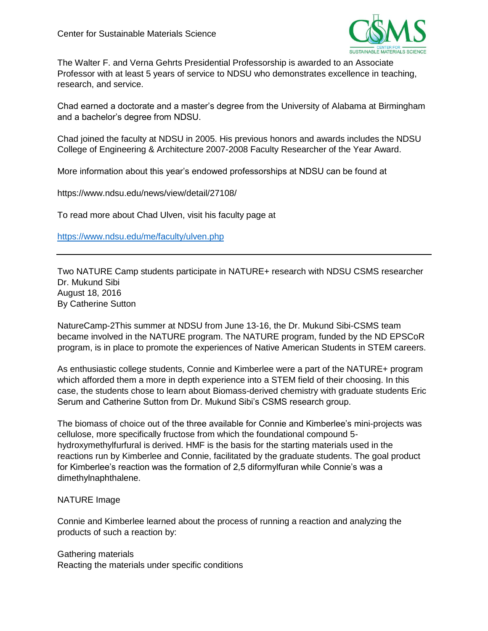

The Walter F. and Verna Gehrts Presidential Professorship is awarded to an Associate Professor with at least 5 years of service to NDSU who demonstrates excellence in teaching, research, and service.

Chad earned a doctorate and a master's degree from the University of Alabama at Birmingham and a bachelor's degree from NDSU.

Chad joined the faculty at NDSU in 2005. His previous honors and awards includes the NDSU College of Engineering & Architecture 2007-2008 Faculty Researcher of the Year Award.

More information about this year's endowed professorships at NDSU can be found at

https://www.ndsu.edu/news/view/detail/27108/

To read more about Chad Ulven, visit his faculty page at

<https://www.ndsu.edu/me/faculty/ulven.php>

Two NATURE Camp students participate in NATURE+ research with NDSU CSMS researcher Dr. Mukund Sibi August 18, 2016 By Catherine Sutton

NatureCamp-2This summer at NDSU from June 13-16, the Dr. Mukund Sibi-CSMS team became involved in the NATURE program. The NATURE program, funded by the ND EPSCoR program, is in place to promote the experiences of Native American Students in STEM careers.

As enthusiastic college students, Connie and Kimberlee were a part of the NATURE+ program which afforded them a more in depth experience into a STEM field of their choosing. In this case, the students chose to learn about Biomass-derived chemistry with graduate students Eric Serum and Catherine Sutton from Dr. Mukund Sibi's CSMS research group.

The biomass of choice out of the three available for Connie and Kimberlee's mini-projects was cellulose, more specifically fructose from which the foundational compound 5 hydroxymethylfurfural is derived. HMF is the basis for the starting materials used in the reactions run by Kimberlee and Connie, facilitated by the graduate students. The goal product for Kimberlee's reaction was the formation of 2,5 diformylfuran while Connie's was a dimethylnaphthalene.

### NATURE Image

Connie and Kimberlee learned about the process of running a reaction and analyzing the products of such a reaction by:

Gathering materials Reacting the materials under specific conditions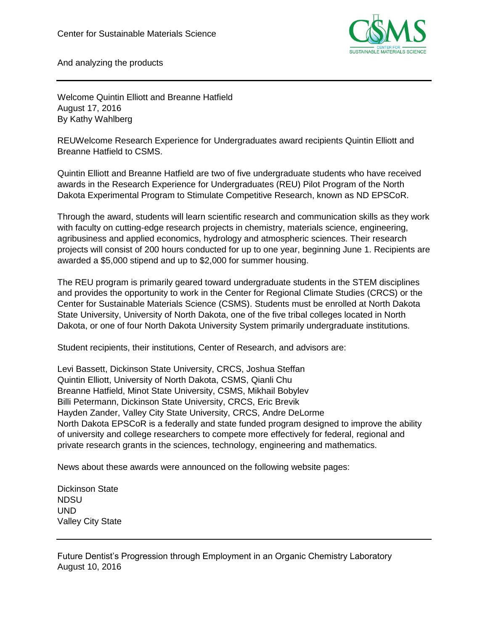

And analyzing the products

Welcome Quintin Elliott and Breanne Hatfield August 17, 2016 By Kathy Wahlberg

REUWelcome Research Experience for Undergraduates award recipients Quintin Elliott and Breanne Hatfield to CSMS.

Quintin Elliott and Breanne Hatfield are two of five undergraduate students who have received awards in the Research Experience for Undergraduates (REU) Pilot Program of the North Dakota Experimental Program to Stimulate Competitive Research, known as ND EPSCoR.

Through the award, students will learn scientific research and communication skills as they work with faculty on cutting-edge research projects in chemistry, materials science, engineering, agribusiness and applied economics, hydrology and atmospheric sciences. Their research projects will consist of 200 hours conducted for up to one year, beginning June 1. Recipients are awarded a \$5,000 stipend and up to \$2,000 for summer housing.

The REU program is primarily geared toward undergraduate students in the STEM disciplines and provides the opportunity to work in the Center for Regional Climate Studies (CRCS) or the Center for Sustainable Materials Science (CSMS). Students must be enrolled at North Dakota State University, University of North Dakota, one of the five tribal colleges located in North Dakota, or one of four North Dakota University System primarily undergraduate institutions.

Student recipients, their institutions, Center of Research, and advisors are:

Levi Bassett, Dickinson State University, CRCS, Joshua Steffan Quintin Elliott, University of North Dakota, CSMS, Qianli Chu Breanne Hatfield, Minot State University, CSMS, Mikhail Bobylev Billi Petermann, Dickinson State University, CRCS, Eric Brevik Hayden Zander, Valley City State University, CRCS, Andre DeLorme North Dakota EPSCoR is a federally and state funded program designed to improve the ability of university and college researchers to compete more effectively for federal, regional and private research grants in the sciences, technology, engineering and mathematics.

News about these awards were announced on the following website pages:

Dickinson State NDSU UND Valley City State

Future Dentist's Progression through Employment in an Organic Chemistry Laboratory August 10, 2016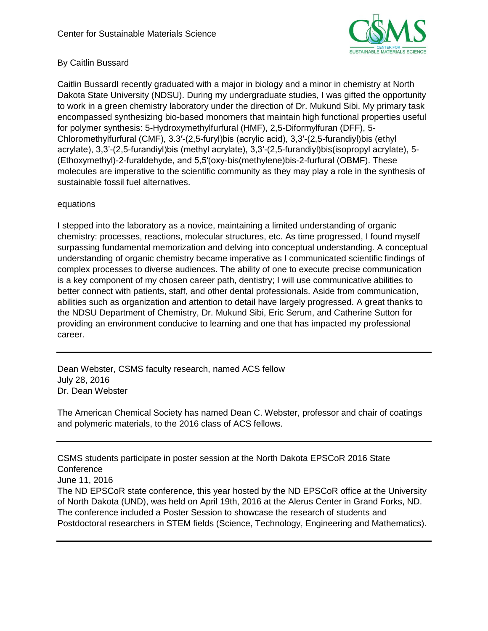

# By Caitlin Bussard

Caitlin BussardI recently graduated with a major in biology and a minor in chemistry at North Dakota State University (NDSU). During my undergraduate studies, I was gifted the opportunity to work in a green chemistry laboratory under the direction of Dr. Mukund Sibi. My primary task encompassed synthesizing bio-based monomers that maintain high functional properties useful for polymer synthesis: 5-Hydroxymethylfurfural (HMF), 2,5-Diformylfuran (DFF), 5- Chloromethylfurfural (CMF), 3.3′-(2,5-furyl)bis (acrylic acid), 3,3′-(2,5-furandiyl)bis (ethyl acrylate), 3,3'-(2,5-furandiyl)bis (methyl acrylate), 3,3′-(2,5-furandiyl)bis(isopropyl acrylate), 5- (Ethoxymethyl)-2-furaldehyde, and 5,5′(oxy-bis(methylene)bis-2-furfural (OBMF). These molecules are imperative to the scientific community as they may play a role in the synthesis of sustainable fossil fuel alternatives.

### equations

I stepped into the laboratory as a novice, maintaining a limited understanding of organic chemistry: processes, reactions, molecular structures, etc. As time progressed, I found myself surpassing fundamental memorization and delving into conceptual understanding. A conceptual understanding of organic chemistry became imperative as I communicated scientific findings of complex processes to diverse audiences. The ability of one to execute precise communication is a key component of my chosen career path, dentistry; I will use communicative abilities to better connect with patients, staff, and other dental professionals. Aside from communication, abilities such as organization and attention to detail have largely progressed. A great thanks to the NDSU Department of Chemistry, Dr. Mukund Sibi, Eric Serum, and Catherine Sutton for providing an environment conducive to learning and one that has impacted my professional career.

Dean Webster, CSMS faculty research, named ACS fellow July 28, 2016 Dr. Dean Webster

The American Chemical Society has named Dean C. Webster, professor and chair of coatings and polymeric materials, to the 2016 class of ACS fellows.

CSMS students participate in poster session at the North Dakota EPSCoR 2016 State **Conference** 

June 11, 2016

The ND EPSCoR state conference, this year hosted by the ND EPSCoR office at the University of North Dakota (UND), was held on April 19th, 2016 at the Alerus Center in Grand Forks, ND. The conference included a Poster Session to showcase the research of students and Postdoctoral researchers in STEM fields (Science, Technology, Engineering and Mathematics).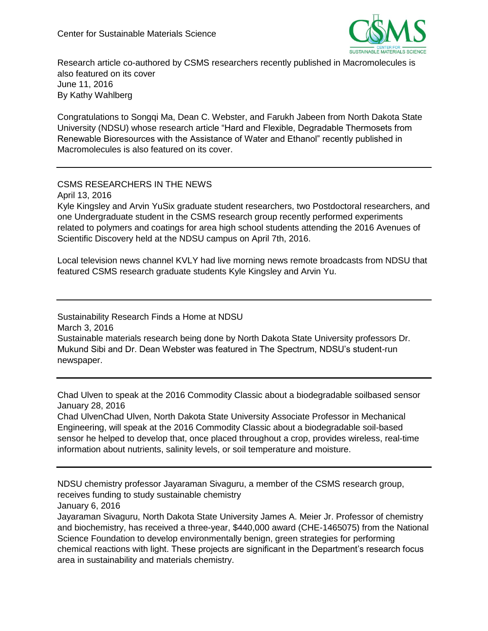

Research article co-authored by CSMS researchers recently published in Macromolecules is also featured on its cover June 11, 2016 By Kathy Wahlberg

Congratulations to Songqi Ma, Dean C. Webster, and Farukh Jabeen from North Dakota State University (NDSU) whose research article "Hard and Flexible, Degradable Thermosets from Renewable Bioresources with the Assistance of Water and Ethanol" recently published in Macromolecules is also featured on its cover.

# CSMS RESEARCHERS IN THE NEWS

April 13, 2016

Kyle Kingsley and Arvin YuSix graduate student researchers, two Postdoctoral researchers, and one Undergraduate student in the CSMS research group recently performed experiments related to polymers and coatings for area high school students attending the 2016 Avenues of Scientific Discovery held at the NDSU campus on April 7th, 2016.

Local television news channel KVLY had live morning news remote broadcasts from NDSU that featured CSMS research graduate students Kyle Kingsley and Arvin Yu.

Sustainability Research Finds a Home at NDSU March 3, 2016 Sustainable materials research being done by North Dakota State University professors Dr. Mukund Sibi and Dr. Dean Webster was featured in The Spectrum, NDSU's student-run newspaper.

Chad Ulven to speak at the 2016 Commodity Classic about a biodegradable soilbased sensor January 28, 2016

Chad UlvenChad Ulven, North Dakota State University Associate Professor in Mechanical Engineering, will speak at the 2016 Commodity Classic about a biodegradable soil-based sensor he helped to develop that, once placed throughout a crop, provides wireless, real-time information about nutrients, salinity levels, or soil temperature and moisture.

NDSU chemistry professor Jayaraman Sivaguru, a member of the CSMS research group, receives funding to study sustainable chemistry

January 6, 2016

Jayaraman Sivaguru, North Dakota State University James A. Meier Jr. Professor of chemistry and biochemistry, has received a three-year, \$440,000 award (CHE-1465075) from the National Science Foundation to develop environmentally benign, green strategies for performing chemical reactions with light. These projects are significant in the Department's research focus area in sustainability and materials chemistry.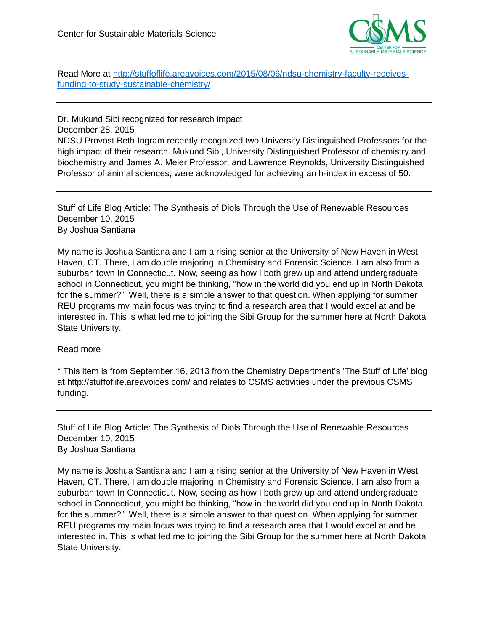

Read More at [http://stuffoflife.areavoices.com/2015/08/06/ndsu-chemistry-faculty-receives](http://stuffoflife.areavoices.com/2015/08/06/ndsu-chemistry-faculty-receives-funding-to-study-sustainable-chemistry/)[funding-to-study-sustainable-chemistry/](http://stuffoflife.areavoices.com/2015/08/06/ndsu-chemistry-faculty-receives-funding-to-study-sustainable-chemistry/)

Dr. Mukund Sibi recognized for research impact December 28, 2015 NDSU Provost Beth Ingram recently recognized two University Distinguished Professors for the high impact of their research. Mukund Sibi, University Distinguished Professor of chemistry and biochemistry and James A. Meier Professor, and Lawrence Reynolds, University Distinguished Professor of animal sciences, were acknowledged for achieving an h-index in excess of 50.

Stuff of Life Blog Article: The Synthesis of Diols Through the Use of Renewable Resources December 10, 2015 By Joshua Santiana

My name is Joshua Santiana and I am a rising senior at the University of New Haven in West Haven, CT. There, I am double majoring in Chemistry and Forensic Science. I am also from a suburban town In Connecticut. Now, seeing as how I both grew up and attend undergraduate school in Connecticut, you might be thinking, "how in the world did you end up in North Dakota for the summer?" Well, there is a simple answer to that question. When applying for summer REU programs my main focus was trying to find a research area that I would excel at and be interested in. This is what led me to joining the Sibi Group for the summer here at North Dakota State University.

### Read more

\* This item is from September 16, 2013 from the Chemistry Department's 'The Stuff of Life' blog at http://stuffoflife.areavoices.com/ and relates to CSMS activities under the previous CSMS funding.

Stuff of Life Blog Article: The Synthesis of Diols Through the Use of Renewable Resources December 10, 2015 By Joshua Santiana

My name is Joshua Santiana and I am a rising senior at the University of New Haven in West Haven, CT. There, I am double majoring in Chemistry and Forensic Science. I am also from a suburban town In Connecticut. Now, seeing as how I both grew up and attend undergraduate school in Connecticut, you might be thinking, "how in the world did you end up in North Dakota for the summer?" Well, there is a simple answer to that question. When applying for summer REU programs my main focus was trying to find a research area that I would excel at and be interested in. This is what led me to joining the Sibi Group for the summer here at North Dakota State University.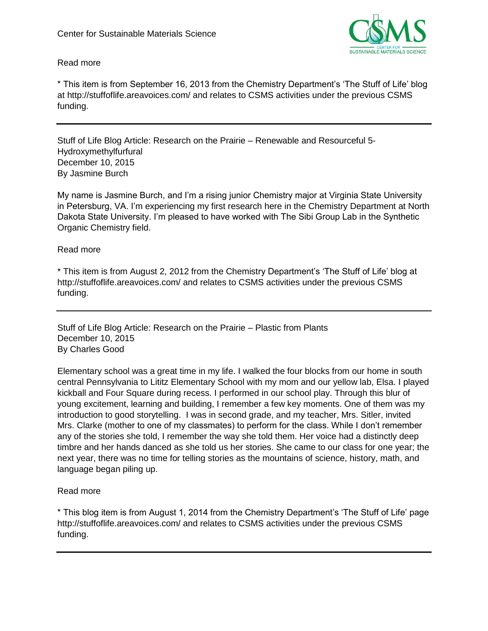

# Read more

\* This item is from September 16, 2013 from the Chemistry Department's 'The Stuff of Life' blog at http://stuffoflife.areavoices.com/ and relates to CSMS activities under the previous CSMS funding.

Stuff of Life Blog Article: Research on the Prairie – Renewable and Resourceful 5- Hydroxymethylfurfural December 10, 2015 By Jasmine Burch

My name is Jasmine Burch, and I'm a rising junior Chemistry major at Virginia State University in Petersburg, VA. I'm experiencing my first research here in the Chemistry Department at North Dakota State University. I'm pleased to have worked with The Sibi Group Lab in the Synthetic Organic Chemistry field.

Read more

\* This item is from August 2, 2012 from the Chemistry Department's 'The Stuff of Life' blog at http://stuffoflife.areavoices.com/ and relates to CSMS activities under the previous CSMS funding.

Stuff of Life Blog Article: Research on the Prairie – Plastic from Plants December 10, 2015 By Charles Good

Elementary school was a great time in my life. I walked the four blocks from our home in south central Pennsylvania to Lititz Elementary School with my mom and our yellow lab, Elsa. I played kickball and Four Square during recess. I performed in our school play. Through this blur of young excitement, learning and building, I remember a few key moments. One of them was my introduction to good storytelling. I was in second grade, and my teacher, Mrs. Sitler, invited Mrs. Clarke (mother to one of my classmates) to perform for the class. While I don't remember any of the stories she told, I remember the way she told them. Her voice had a distinctly deep timbre and her hands danced as she told us her stories. She came to our class for one year; the next year, there was no time for telling stories as the mountains of science, history, math, and language began piling up.

# Read more

\* This blog item is from August 1, 2014 from the Chemistry Department's 'The Stuff of Life' page http://stuffoflife.areavoices.com/ and relates to CSMS activities under the previous CSMS funding.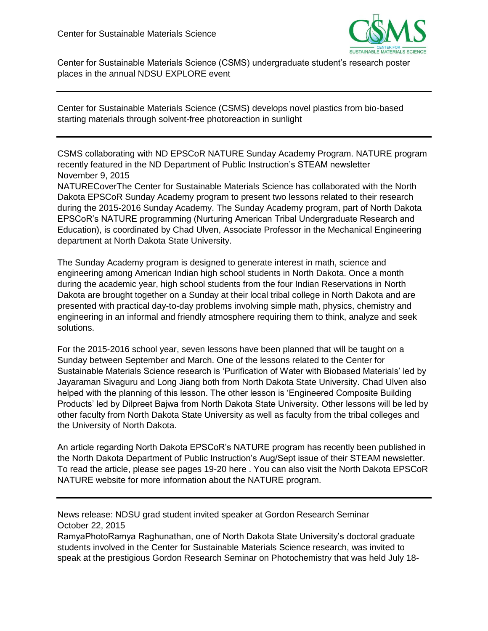

Center for Sustainable Materials Science (CSMS) undergraduate student's research poster places in the annual NDSU EXPLORE event

Center for Sustainable Materials Science (CSMS) develops novel plastics from bio-based starting materials through solvent-free photoreaction in sunlight

CSMS collaborating with ND EPSCoR NATURE Sunday Academy Program. NATURE program recently featured in the ND Department of Public Instruction's STEAM newsletter November 9, 2015

NATURECoverThe Center for Sustainable Materials Science has collaborated with the North Dakota EPSCoR Sunday Academy program to present two lessons related to their research during the 2015-2016 Sunday Academy. The Sunday Academy program, part of North Dakota EPSCoR's NATURE programming (Nurturing American Tribal Undergraduate Research and Education), is coordinated by Chad Ulven, Associate Professor in the Mechanical Engineering department at North Dakota State University.

The Sunday Academy program is designed to generate interest in math, science and engineering among American Indian high school students in North Dakota. Once a month during the academic year, high school students from the four Indian Reservations in North Dakota are brought together on a Sunday at their local tribal college in North Dakota and are presented with practical day-to-day problems involving simple math, physics, chemistry and engineering in an informal and friendly atmosphere requiring them to think, analyze and seek solutions.

For the 2015-2016 school year, seven lessons have been planned that will be taught on a Sunday between September and March. One of the lessons related to the Center for Sustainable Materials Science research is 'Purification of Water with Biobased Materials' led by Jayaraman Sivaguru and Long Jiang both from North Dakota State University. Chad Ulven also helped with the planning of this lesson. The other lesson is 'Engineered Composite Building Products' led by Dilpreet Bajwa from North Dakota State University. Other lessons will be led by other faculty from North Dakota State University as well as faculty from the tribal colleges and the University of North Dakota.

An article regarding North Dakota EPSCoR's NATURE program has recently been published in the North Dakota Department of Public Instruction's Aug/Sept issue of their STEAM newsletter. To read the article, please see pages 19-20 here . You can also visit the North Dakota EPSCoR NATURE website for more information about the NATURE program.

# News release: NDSU grad student invited speaker at Gordon Research Seminar October 22, 2015

RamyaPhotoRamya Raghunathan, one of North Dakota State University's doctoral graduate students involved in the Center for Sustainable Materials Science research, was invited to speak at the prestigious Gordon Research Seminar on Photochemistry that was held July 18-